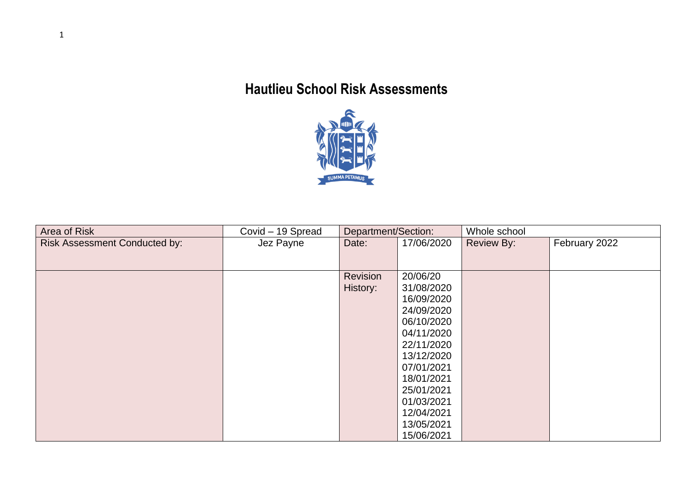## **Hautlieu School Risk Assessments**



| Area of Risk                         | Covid - 19 Spread | Department/Section: |            | Whole school      |               |  |
|--------------------------------------|-------------------|---------------------|------------|-------------------|---------------|--|
| <b>Risk Assessment Conducted by:</b> | Jez Payne         | Date:               | 17/06/2020 | <b>Review By:</b> | February 2022 |  |
|                                      |                   |                     |            |                   |               |  |
|                                      |                   |                     |            |                   |               |  |
|                                      |                   | Revision            | 20/06/20   |                   |               |  |
|                                      |                   | History:            | 31/08/2020 |                   |               |  |
|                                      |                   |                     | 16/09/2020 |                   |               |  |
|                                      |                   |                     | 24/09/2020 |                   |               |  |
|                                      |                   |                     | 06/10/2020 |                   |               |  |
|                                      |                   |                     | 04/11/2020 |                   |               |  |
|                                      |                   |                     | 22/11/2020 |                   |               |  |
|                                      |                   |                     | 13/12/2020 |                   |               |  |
|                                      |                   |                     | 07/01/2021 |                   |               |  |
|                                      |                   |                     | 18/01/2021 |                   |               |  |
|                                      |                   |                     | 25/01/2021 |                   |               |  |
|                                      |                   |                     | 01/03/2021 |                   |               |  |
|                                      |                   |                     | 12/04/2021 |                   |               |  |
|                                      |                   |                     | 13/05/2021 |                   |               |  |
|                                      |                   |                     | 15/06/2021 |                   |               |  |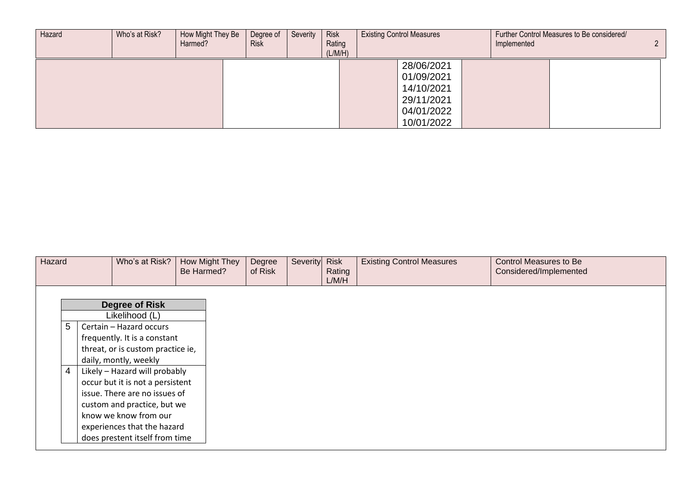| Hazard | Who's at Risk? | How Might They Be<br>Harmed? | Degree of<br><b>Risk</b> | Severity | <b>Risk</b><br>Rating<br>(L/M/H) | <b>Existing Control Measures</b> |            | Implemented | Further Control Measures to Be considered/ | C. |  |
|--------|----------------|------------------------------|--------------------------|----------|----------------------------------|----------------------------------|------------|-------------|--------------------------------------------|----|--|
|        |                |                              |                          |          |                                  |                                  | 28/06/2021 |             |                                            |    |  |
|        |                |                              |                          |          |                                  |                                  | 01/09/2021 |             |                                            |    |  |
|        |                |                              |                          |          |                                  |                                  | 14/10/2021 |             |                                            |    |  |
|        |                |                              |                          |          |                                  |                                  | 29/11/2021 |             |                                            |    |  |
|        |                |                              |                          |          |                                  |                                  | 04/01/2022 |             |                                            |    |  |
|        |                |                              |                          |          |                                  |                                  | 10/01/2022 |             |                                            |    |  |

| Hazard |   | Who's at Risk?                    | How Might They<br>Be Harmed? | Degree<br>of Risk | Severity Risk | Rating<br>L/M/H | <b>Existing Control Measures</b> | <b>Control Measures to Be</b><br>Considered/Implemented |
|--------|---|-----------------------------------|------------------------------|-------------------|---------------|-----------------|----------------------------------|---------------------------------------------------------|
|        |   |                                   |                              |                   |               |                 |                                  |                                                         |
|        |   | <b>Degree of Risk</b>             |                              |                   |               |                 |                                  |                                                         |
|        |   | Likelihood (L)                    |                              |                   |               |                 |                                  |                                                         |
|        | 5 | Certain - Hazard occurs           |                              |                   |               |                 |                                  |                                                         |
|        |   | frequently. It is a constant      |                              |                   |               |                 |                                  |                                                         |
|        |   | threat, or is custom practice ie, |                              |                   |               |                 |                                  |                                                         |
|        |   | daily, montly, weekly             |                              |                   |               |                 |                                  |                                                         |
|        | 4 | Likely - Hazard will probably     |                              |                   |               |                 |                                  |                                                         |
|        |   | occur but it is not a persistent  |                              |                   |               |                 |                                  |                                                         |
|        |   | issue. There are no issues of     |                              |                   |               |                 |                                  |                                                         |
|        |   | custom and practice, but we       |                              |                   |               |                 |                                  |                                                         |
|        |   | know we know from our             |                              |                   |               |                 |                                  |                                                         |
|        |   | experiences that the hazard       |                              |                   |               |                 |                                  |                                                         |
|        |   | does prestent itself from time    |                              |                   |               |                 |                                  |                                                         |
|        |   |                                   |                              |                   |               |                 |                                  |                                                         |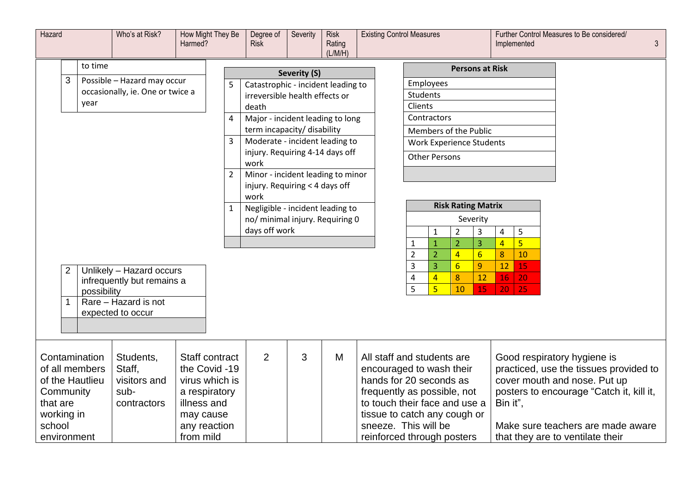| Hazard<br>Who's at Risk?<br>Harmed? |   |                                   | How Might They Be                |                                 | Degree of<br><b>Risk</b> | Severity                                                            | <b>Risk</b><br>Rating<br>(L/M/H) | <b>Existing Control Measures</b> |                                                     |                             |                                                                |                                 |                 | Implemented                              | Further Control Measures to Be considered/ |                                                                        |  | $\mathfrak{Z}$ |  |
|-------------------------------------|---|-----------------------------------|----------------------------------|---------------------------------|--------------------------|---------------------------------------------------------------------|----------------------------------|----------------------------------|-----------------------------------------------------|-----------------------------|----------------------------------------------------------------|---------------------------------|-----------------|------------------------------------------|--------------------------------------------|------------------------------------------------------------------------|--|----------------|--|
|                                     |   | to time                           |                                  |                                 |                          |                                                                     | Severity (S)                     |                                  |                                                     | <b>Persons at Risk</b>      |                                                                |                                 |                 |                                          |                                            |                                                                        |  |                |  |
|                                     | 3 |                                   | Possible - Hazard may occur      |                                 | 5                        | Catastrophic - incident leading to                                  |                                  |                                  |                                                     |                             | Employees                                                      |                                 |                 |                                          |                                            |                                                                        |  |                |  |
|                                     |   |                                   | occasionally, ie. One or twice a |                                 |                          | irreversible health effects or                                      |                                  |                                  |                                                     |                             | Students                                                       |                                 |                 |                                          |                                            |                                                                        |  |                |  |
|                                     |   | year                              |                                  |                                 |                          | death                                                               |                                  |                                  |                                                     | Clients                     |                                                                |                                 |                 |                                          |                                            |                                                                        |  |                |  |
|                                     |   |                                   |                                  |                                 | 4                        | Major - incident leading to long                                    |                                  |                                  |                                                     | Contractors                 |                                                                |                                 |                 |                                          |                                            |                                                                        |  |                |  |
|                                     |   |                                   |                                  |                                 |                          | term incapacity/ disability                                         |                                  |                                  |                                                     | Members of the Public       |                                                                |                                 |                 |                                          |                                            |                                                                        |  |                |  |
|                                     |   |                                   |                                  |                                 | 3                        | Moderate - incident leading to                                      |                                  |                                  |                                                     |                             |                                                                | <b>Work Experience Students</b> |                 |                                          |                                            |                                                                        |  |                |  |
|                                     |   |                                   |                                  |                                 |                          | injury. Requiring 4-14 days off<br>work                             |                                  |                                  |                                                     | <b>Other Persons</b>        |                                                                |                                 |                 |                                          |                                            |                                                                        |  |                |  |
|                                     |   |                                   |                                  |                                 | $\overline{2}$           | Minor - incident leading to minor                                   |                                  |                                  |                                                     |                             |                                                                |                                 |                 |                                          |                                            |                                                                        |  |                |  |
|                                     |   |                                   |                                  |                                 |                          | injury. Requiring < 4 days off                                      |                                  |                                  |                                                     |                             |                                                                |                                 |                 |                                          |                                            |                                                                        |  |                |  |
|                                     |   |                                   |                                  |                                 |                          | work                                                                |                                  |                                  | <b>Risk Rating Matrix</b>                           |                             |                                                                |                                 |                 |                                          |                                            |                                                                        |  |                |  |
|                                     |   |                                   |                                  |                                 |                          | Negligible - incident leading to<br>no/ minimal injury. Requiring 0 |                                  |                                  |                                                     |                             |                                                                |                                 | Severity        |                                          |                                            |                                                                        |  |                |  |
|                                     |   |                                   |                                  |                                 |                          | days off work                                                       |                                  |                                  |                                                     |                             | $\mathbf{1}$                                                   | $\overline{c}$                  | $\mathsf 3$     | 4                                        | 5                                          |                                                                        |  |                |  |
|                                     |   |                                   |                                  |                                 |                          |                                                                     |                                  |                                  |                                                     | $\mathbf{1}$                | $\mathbf{1}$                                                   | $\overline{2}$                  | 3               | $\overline{4}$                           | $\overline{5}$                             |                                                                        |  |                |  |
|                                     |   |                                   |                                  |                                 |                          |                                                                     |                                  |                                  |                                                     | $\overline{2}$              | $\overline{2}$                                                 | $\overline{4}$                  | $6 \overline{}$ | 8                                        | 10                                         |                                                                        |  |                |  |
|                                     |   |                                   | Unlikely - Hazard occurs         |                                 |                          |                                                                     |                                  |                                  |                                                     | $\overline{3}$              | $\overline{3}$                                                 | $6 \overline{}$                 | 9               | 12                                       | 15                                         |                                                                        |  |                |  |
|                                     |   |                                   | infrequently but remains a       |                                 |                          |                                                                     |                                  |                                  |                                                     | 4                           | $\overline{4}$                                                 | 8                               | 12              | 16                                       | 20                                         |                                                                        |  |                |  |
|                                     |   | possibility                       |                                  |                                 |                          |                                                                     |                                  |                                  |                                                     | 5                           | $\overline{5}$                                                 | 10                              | 15              | 20                                       | 25                                         |                                                                        |  |                |  |
|                                     |   |                                   | Rare - Hazard is not             |                                 |                          |                                                                     |                                  |                                  |                                                     |                             |                                                                |                                 |                 |                                          |                                            |                                                                        |  |                |  |
|                                     |   |                                   | expected to occur                |                                 |                          |                                                                     |                                  |                                  |                                                     |                             |                                                                |                                 |                 |                                          |                                            |                                                                        |  |                |  |
|                                     |   |                                   |                                  |                                 |                          |                                                                     |                                  |                                  |                                                     |                             |                                                                |                                 |                 |                                          |                                            |                                                                        |  |                |  |
|                                     |   |                                   |                                  |                                 |                          |                                                                     |                                  |                                  |                                                     |                             |                                                                |                                 |                 |                                          |                                            |                                                                        |  |                |  |
|                                     |   | Contamination                     | Students,                        | Staff contract                  |                          | $\overline{2}$                                                      | 3                                | M                                | All staff and students are                          |                             |                                                                |                                 |                 |                                          |                                            | Good respiratory hygiene is                                            |  |                |  |
|                                     |   | of all members<br>of the Hautlieu | Staff,<br>visitors and           | the Covid -19<br>virus which is |                          |                                                                     |                                  |                                  | encouraged to wash their<br>hands for 20 seconds as |                             |                                                                |                                 |                 |                                          |                                            | practiced, use the tissues provided to<br>cover mouth and nose. Put up |  |                |  |
| Community                           |   |                                   | sub-                             | a respiratory                   |                          |                                                                     |                                  |                                  |                                                     | frequently as possible, not |                                                                |                                 |                 | posters to encourage "Catch it, kill it, |                                            |                                                                        |  |                |  |
| that are                            |   |                                   | contractors                      | illness and                     |                          |                                                                     |                                  |                                  | to touch their face and use a                       |                             |                                                                |                                 |                 | Bin it",                                 |                                            |                                                                        |  |                |  |
| working in                          |   |                                   |                                  | may cause                       |                          |                                                                     | tissue to catch any cough or     |                                  |                                                     |                             |                                                                |                                 |                 |                                          |                                            |                                                                        |  |                |  |
| school                              |   |                                   |                                  | any reaction                    |                          |                                                                     |                                  |                                  |                                                     |                             | sneeze. This will be<br>Make sure teachers are made aware      |                                 |                 |                                          |                                            |                                                                        |  |                |  |
| environment                         |   |                                   |                                  | from mild                       |                          |                                                                     |                                  |                                  |                                                     |                             | reinforced through posters<br>that they are to ventilate their |                                 |                 |                                          |                                            |                                                                        |  |                |  |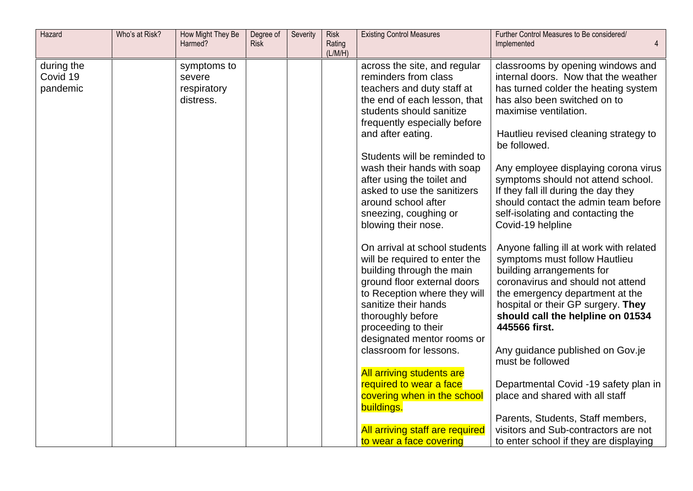| Hazard                             | Who's at Risk? | How Might They Be<br>Harmed?                      | Degree of<br><b>Risk</b> | Severity | <b>Risk</b><br>Rating<br>(L/M/H) | <b>Existing Control Measures</b>                                                                                                                                                                                                                                                                                                                                               | Further Control Measures to Be considered/<br>Implemented                                                                                                                                                                                                                                                                                                                                                                              |
|------------------------------------|----------------|---------------------------------------------------|--------------------------|----------|----------------------------------|--------------------------------------------------------------------------------------------------------------------------------------------------------------------------------------------------------------------------------------------------------------------------------------------------------------------------------------------------------------------------------|----------------------------------------------------------------------------------------------------------------------------------------------------------------------------------------------------------------------------------------------------------------------------------------------------------------------------------------------------------------------------------------------------------------------------------------|
| during the<br>Covid 19<br>pandemic |                | symptoms to<br>severe<br>respiratory<br>distress. |                          |          |                                  | across the site, and regular<br>reminders from class<br>teachers and duty staff at<br>the end of each lesson, that<br>students should sanitize<br>frequently especially before<br>and after eating.<br>Students will be reminded to<br>wash their hands with soap<br>after using the toilet and<br>asked to use the sanitizers<br>around school after<br>sneezing, coughing or | classrooms by opening windows and<br>internal doors. Now that the weather<br>has turned colder the heating system<br>has also been switched on to<br>maximise ventilation.<br>Hautlieu revised cleaning strategy to<br>be followed.<br>Any employee displaying corona virus<br>symptoms should not attend school.<br>If they fall ill during the day they<br>should contact the admin team before<br>self-isolating and contacting the |
|                                    |                |                                                   |                          |          |                                  | blowing their nose.<br>On arrival at school students<br>will be required to enter the<br>building through the main<br>ground floor external doors<br>to Reception where they will<br>sanitize their hands<br>thoroughly before<br>proceeding to their<br>designated mentor rooms or<br>classroom for lessons.                                                                  | Covid-19 helpline<br>Anyone falling ill at work with related<br>symptoms must follow Hautlieu<br>building arrangements for<br>coronavirus and should not attend<br>the emergency department at the<br>hospital or their GP surgery. They<br>should call the helpline on 01534<br>445566 first.<br>Any guidance published on Gov.je                                                                                                     |
|                                    |                |                                                   |                          |          |                                  | <b>All arriving students are</b><br>required to wear a face<br>covering when in the school<br>buildings.<br>All arriving staff are required<br>to wear a face covering                                                                                                                                                                                                         | must be followed<br>Departmental Covid -19 safety plan in<br>place and shared with all staff<br>Parents, Students, Staff members,<br>visitors and Sub-contractors are not<br>to enter school if they are displaying                                                                                                                                                                                                                    |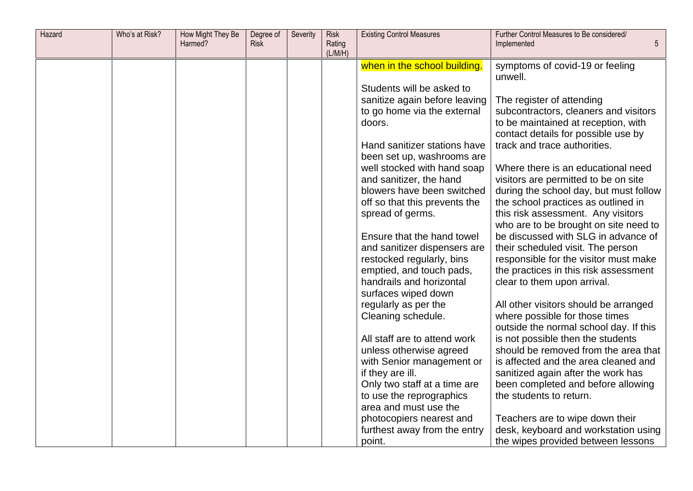| Hazard | Who's at Risk? | How Might They Be<br>Harmed? | Degree of<br><b>Risk</b> | Severity | <b>Risk</b><br>Rating<br>(L/M/H) | <b>Existing Control Measures</b>                     | Further Control Measures to Be considered/<br>Implemented<br>5             |
|--------|----------------|------------------------------|--------------------------|----------|----------------------------------|------------------------------------------------------|----------------------------------------------------------------------------|
|        |                |                              |                          |          |                                  | when in the school building.                         | symptoms of covid-19 or feeling                                            |
|        |                |                              |                          |          |                                  |                                                      | unwell.                                                                    |
|        |                |                              |                          |          |                                  | Students will be asked to                            |                                                                            |
|        |                |                              |                          |          |                                  | sanitize again before leaving                        | The register of attending                                                  |
|        |                |                              |                          |          |                                  | to go home via the external                          | subcontractors, cleaners and visitors                                      |
|        |                |                              |                          |          |                                  | doors.                                               | to be maintained at reception, with<br>contact details for possible use by |
|        |                |                              |                          |          |                                  | Hand sanitizer stations have                         | track and trace authorities.                                               |
|        |                |                              |                          |          |                                  | been set up, washrooms are                           |                                                                            |
|        |                |                              |                          |          |                                  | well stocked with hand soap                          | Where there is an educational need                                         |
|        |                |                              |                          |          |                                  | and sanitizer, the hand                              | visitors are permitted to be on site                                       |
|        |                |                              |                          |          |                                  | blowers have been switched                           | during the school day, but must follow                                     |
|        |                |                              |                          |          |                                  | off so that this prevents the                        | the school practices as outlined in                                        |
|        |                |                              |                          |          |                                  | spread of germs.                                     | this risk assessment. Any visitors                                         |
|        |                |                              |                          |          |                                  |                                                      | who are to be brought on site need to                                      |
|        |                |                              |                          |          |                                  | Ensure that the hand towel                           | be discussed with SLG in advance of                                        |
|        |                |                              |                          |          |                                  | and sanitizer dispensers are                         | their scheduled visit. The person                                          |
|        |                |                              |                          |          |                                  | restocked regularly, bins                            | responsible for the visitor must make                                      |
|        |                |                              |                          |          |                                  | emptied, and touch pads,<br>handrails and horizontal | the practices in this risk assessment                                      |
|        |                |                              |                          |          |                                  | surfaces wiped down                                  | clear to them upon arrival.                                                |
|        |                |                              |                          |          |                                  | regularly as per the                                 | All other visitors should be arranged                                      |
|        |                |                              |                          |          |                                  | Cleaning schedule.                                   | where possible for those times                                             |
|        |                |                              |                          |          |                                  |                                                      | outside the normal school day. If this                                     |
|        |                |                              |                          |          |                                  | All staff are to attend work                         | is not possible then the students                                          |
|        |                |                              |                          |          |                                  | unless otherwise agreed                              | should be removed from the area that                                       |
|        |                |                              |                          |          |                                  | with Senior management or                            | is affected and the area cleaned and                                       |
|        |                |                              |                          |          |                                  | if they are ill.                                     | sanitized again after the work has                                         |
|        |                |                              |                          |          |                                  | Only two staff at a time are                         | been completed and before allowing                                         |
|        |                |                              |                          |          |                                  | to use the reprographics                             | the students to return.                                                    |
|        |                |                              |                          |          |                                  | area and must use the                                |                                                                            |
|        |                |                              |                          |          |                                  | photocopiers nearest and                             | Teachers are to wipe down their                                            |
|        |                |                              |                          |          |                                  | furthest away from the entry                         | desk, keyboard and workstation using                                       |
|        |                |                              |                          |          |                                  | point.                                               | the wipes provided between lessons                                         |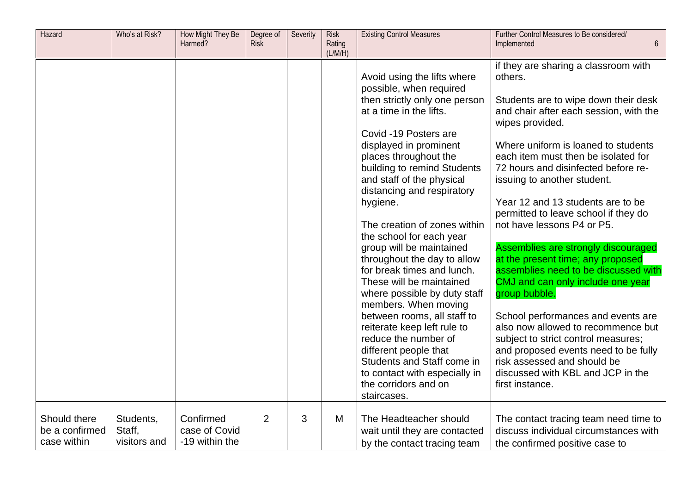| Hazard                                        | Who's at Risk?                      | How Might They Be<br>Harmed?                 | Degree of<br><b>Risk</b> | Severity | <b>Risk</b><br>Rating<br>(L/M/H) | <b>Existing Control Measures</b>                                                                                                                                                                                                                                                                                                                                                                                                                                                                                                                                                                                                                                                                                                                                   | Further Control Measures to Be considered/<br>Implemented<br>6                                                                                                                                                                                                                                                                                                                                                                                                                                                                                                                                                                                                                                                                                                                                                                                  |
|-----------------------------------------------|-------------------------------------|----------------------------------------------|--------------------------|----------|----------------------------------|--------------------------------------------------------------------------------------------------------------------------------------------------------------------------------------------------------------------------------------------------------------------------------------------------------------------------------------------------------------------------------------------------------------------------------------------------------------------------------------------------------------------------------------------------------------------------------------------------------------------------------------------------------------------------------------------------------------------------------------------------------------------|-------------------------------------------------------------------------------------------------------------------------------------------------------------------------------------------------------------------------------------------------------------------------------------------------------------------------------------------------------------------------------------------------------------------------------------------------------------------------------------------------------------------------------------------------------------------------------------------------------------------------------------------------------------------------------------------------------------------------------------------------------------------------------------------------------------------------------------------------|
|                                               |                                     |                                              |                          |          |                                  | Avoid using the lifts where<br>possible, when required<br>then strictly only one person<br>at a time in the lifts.<br>Covid -19 Posters are<br>displayed in prominent<br>places throughout the<br>building to remind Students<br>and staff of the physical<br>distancing and respiratory<br>hygiene.<br>The creation of zones within<br>the school for each year<br>group will be maintained<br>throughout the day to allow<br>for break times and lunch.<br>These will be maintained<br>where possible by duty staff<br>members. When moving<br>between rooms, all staff to<br>reiterate keep left rule to<br>reduce the number of<br>different people that<br>Students and Staff come in<br>to contact with especially in<br>the corridors and on<br>staircases. | if they are sharing a classroom with<br>others.<br>Students are to wipe down their desk<br>and chair after each session, with the<br>wipes provided.<br>Where uniform is loaned to students<br>each item must then be isolated for<br>72 hours and disinfected before re-<br>issuing to another student.<br>Year 12 and 13 students are to be<br>permitted to leave school if they do<br>not have lessons P4 or P5.<br>Assemblies are strongly discouraged<br>at the present time; any proposed<br>assemblies need to be discussed with<br>CMJ and can only include one year<br>group bubble.<br>School performances and events are<br>also now allowed to recommence but<br>subject to strict control measures;<br>and proposed events need to be fully<br>risk assessed and should be<br>discussed with KBL and JCP in the<br>first instance. |
| Should there<br>be a confirmed<br>case within | Students,<br>Staff,<br>visitors and | Confirmed<br>case of Covid<br>-19 within the | $\overline{2}$           | 3        | M                                | The Headteacher should<br>wait until they are contacted<br>by the contact tracing team                                                                                                                                                                                                                                                                                                                                                                                                                                                                                                                                                                                                                                                                             | The contact tracing team need time to<br>discuss individual circumstances with<br>the confirmed positive case to                                                                                                                                                                                                                                                                                                                                                                                                                                                                                                                                                                                                                                                                                                                                |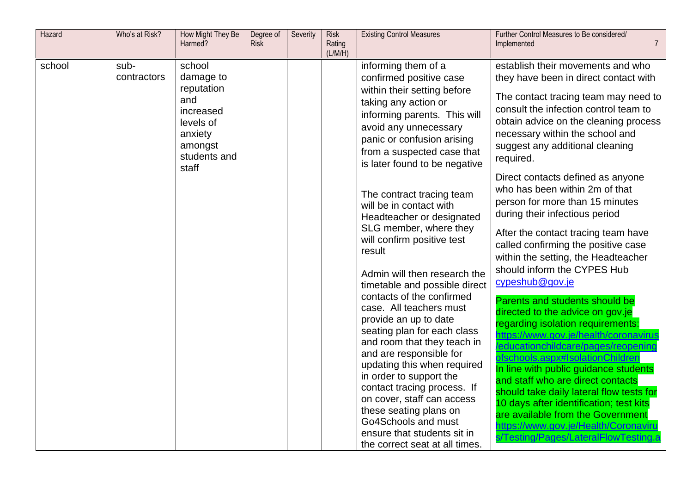| Hazard | Who's at Risk?      | How Might They Be<br>Harmed?                                                                             | Degree of<br><b>Risk</b> | Severity | <b>Risk</b><br>Rating<br>(L/M/H) | <b>Existing Control Measures</b>                                                                                                                                                                                                                                                                                                                                                                                | Further Control Measures to Be considered/<br>Implemented<br>$\overline{7}$                                                                                                                                                                                                                                                                                                                                                                                                                                          |
|--------|---------------------|----------------------------------------------------------------------------------------------------------|--------------------------|----------|----------------------------------|-----------------------------------------------------------------------------------------------------------------------------------------------------------------------------------------------------------------------------------------------------------------------------------------------------------------------------------------------------------------------------------------------------------------|----------------------------------------------------------------------------------------------------------------------------------------------------------------------------------------------------------------------------------------------------------------------------------------------------------------------------------------------------------------------------------------------------------------------------------------------------------------------------------------------------------------------|
| school | sub-<br>contractors | school<br>damage to<br>reputation<br>and<br>increased<br>levels of<br>anxiety<br>amongst<br>students and |                          |          |                                  | informing them of a<br>confirmed positive case<br>within their setting before<br>taking any action or<br>informing parents. This will<br>avoid any unnecessary<br>panic or confusion arising<br>from a suspected case that<br>is later found to be negative                                                                                                                                                     | establish their movements and who<br>they have been in direct contact with<br>The contact tracing team may need to<br>consult the infection control team to<br>obtain advice on the cleaning process<br>necessary within the school and<br>suggest any additional cleaning<br>required.                                                                                                                                                                                                                              |
|        |                     | staff                                                                                                    |                          |          |                                  | The contract tracing team<br>will be in contact with<br>Headteacher or designated<br>SLG member, where they<br>will confirm positive test<br>result<br>Admin will then research the<br>timetable and possible direct                                                                                                                                                                                            | Direct contacts defined as anyone<br>who has been within 2m of that<br>person for more than 15 minutes<br>during their infectious period<br>After the contact tracing team have<br>called confirming the positive case<br>within the setting, the Headteacher<br>should inform the CYPES Hub<br>cypeshub@gov.je                                                                                                                                                                                                      |
|        |                     |                                                                                                          |                          |          |                                  | contacts of the confirmed<br>case. All teachers must<br>provide an up to date<br>seating plan for each class<br>and room that they teach in<br>and are responsible for<br>updating this when required<br>in order to support the<br>contact tracing process. If<br>on cover, staff can access<br>these seating plans on<br>Go4Schools and must<br>ensure that students sit in<br>the correct seat at all times. | Parents and students should be<br>directed to the advice on gov.je<br>regarding isolation requirements:<br>https://www.gov.je/health/coronavirus<br>educationchildcare/pages/reopening<br>ofschools.aspx#IsolationChildren<br>In line with public guidance students<br>and staff who are direct contacts<br>should take daily lateral flow tests for<br>10 days after identification; test kits<br>are available from the Government<br>https://www.gov.je/Health/Coronaviru<br>s/Testing/Pages/LateralFlowTesting.a |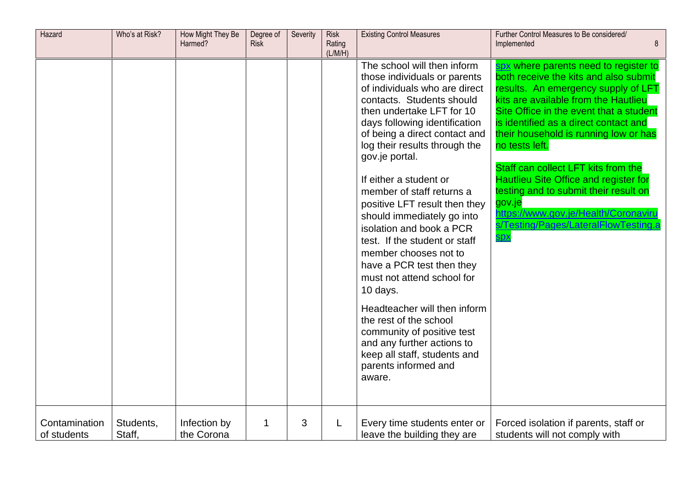| Hazard                       | Who's at Risk?      | How Might They Be<br>Harmed? | Degree of<br>Risk | Severity | <b>Risk</b><br>Rating<br>(L/M/H) | <b>Existing Control Measures</b>                                                                                                                                                                                                                                                                                                                                                                                                                                                                                                                                                                                                                                                                                                                       | Further Control Measures to Be considered/<br>8<br>Implemented                                                                                                                                                                                                                                                                                                                                                                                                                                                                                       |
|------------------------------|---------------------|------------------------------|-------------------|----------|----------------------------------|--------------------------------------------------------------------------------------------------------------------------------------------------------------------------------------------------------------------------------------------------------------------------------------------------------------------------------------------------------------------------------------------------------------------------------------------------------------------------------------------------------------------------------------------------------------------------------------------------------------------------------------------------------------------------------------------------------------------------------------------------------|------------------------------------------------------------------------------------------------------------------------------------------------------------------------------------------------------------------------------------------------------------------------------------------------------------------------------------------------------------------------------------------------------------------------------------------------------------------------------------------------------------------------------------------------------|
|                              |                     |                              |                   |          |                                  | The school will then inform<br>those individuals or parents<br>of individuals who are direct<br>contacts. Students should<br>then undertake LFT for 10<br>days following identification<br>of being a direct contact and<br>log their results through the<br>gov.je portal.<br>If either a student or<br>member of staff returns a<br>positive LFT result then they<br>should immediately go into<br>isolation and book a PCR<br>test. If the student or staff<br>member chooses not to<br>have a PCR test then they<br>must not attend school for<br>10 days.<br>Headteacher will then inform<br>the rest of the school<br>community of positive test<br>and any further actions to<br>keep all staff, students and<br>parents informed and<br>aware. | spx where parents need to register to<br>both receive the kits and also submit<br>results. An emergency supply of LFT<br>kits are available from the Hautlieu<br>Site Office in the event that a student<br>is identified as a direct contact and<br>their household is running low or has<br>no tests left.<br>Staff can collect LFT kits from the<br><b>Hautlieu Site Office and register for</b><br>testing and to submit their result on<br>gov.je<br>https://www.gov.je/Health/Coronaviru<br>s/Testing/Pages/LateralFlowTesting.a<br><b>Spx</b> |
| Contamination<br>of students | Students,<br>Staff, | Infection by<br>the Corona   | 1                 | 3        | L                                | Every time students enter or<br>leave the building they are                                                                                                                                                                                                                                                                                                                                                                                                                                                                                                                                                                                                                                                                                            | Forced isolation if parents, staff or<br>students will not comply with                                                                                                                                                                                                                                                                                                                                                                                                                                                                               |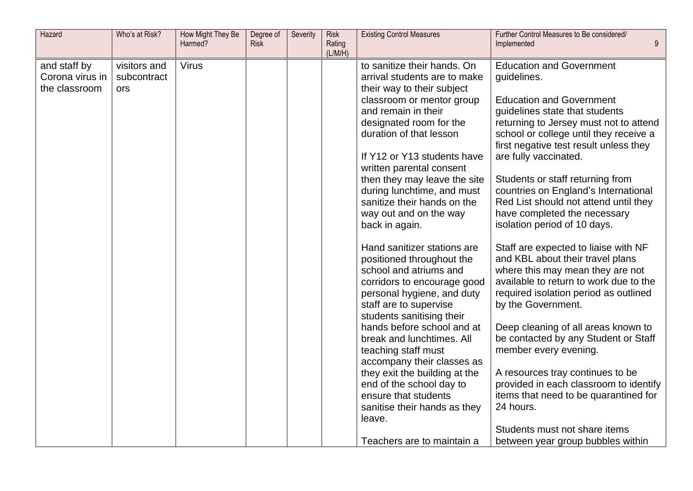| Hazard          | Who's at Risk? | How Might They Be<br>Harmed? | Degree of<br><b>Risk</b> | Severity | <b>Risk</b><br>Rating | <b>Existing Control Measures</b>                            | Further Control Measures to Be considered/<br>Implemented                        |
|-----------------|----------------|------------------------------|--------------------------|----------|-----------------------|-------------------------------------------------------------|----------------------------------------------------------------------------------|
|                 |                |                              |                          |          | (L/M/H)               |                                                             |                                                                                  |
| and staff by    | visitors and   | <b>Virus</b>                 |                          |          |                       | to sanitize their hands. On                                 | <b>Education and Government</b>                                                  |
| Corona virus in | subcontract    |                              |                          |          |                       | arrival students are to make                                | guidelines.                                                                      |
| the classroom   | ors            |                              |                          |          |                       | their way to their subject                                  |                                                                                  |
|                 |                |                              |                          |          |                       | classroom or mentor group                                   | <b>Education and Government</b>                                                  |
|                 |                |                              |                          |          |                       | and remain in their                                         | guidelines state that students                                                   |
|                 |                |                              |                          |          |                       | designated room for the                                     | returning to Jersey must not to attend                                           |
|                 |                |                              |                          |          |                       | duration of that lesson                                     | school or college until they receive a<br>first negative test result unless they |
|                 |                |                              |                          |          |                       | If Y12 or Y13 students have                                 | are fully vaccinated.                                                            |
|                 |                |                              |                          |          |                       | written parental consent                                    |                                                                                  |
|                 |                |                              |                          |          |                       | then they may leave the site                                | Students or staff returning from                                                 |
|                 |                |                              |                          |          |                       | during lunchtime, and must                                  | countries on England's International                                             |
|                 |                |                              |                          |          |                       | sanitize their hands on the                                 | Red List should not attend until they                                            |
|                 |                |                              |                          |          |                       | way out and on the way                                      | have completed the necessary                                                     |
|                 |                |                              |                          |          |                       | back in again.                                              | isolation period of 10 days.                                                     |
|                 |                |                              |                          |          |                       | Hand sanitizer stations are                                 | Staff are expected to liaise with NF                                             |
|                 |                |                              |                          |          |                       | positioned throughout the                                   | and KBL about their travel plans                                                 |
|                 |                |                              |                          |          |                       | school and atriums and                                      | where this may mean they are not                                                 |
|                 |                |                              |                          |          |                       | corridors to encourage good                                 | available to return to work due to the                                           |
|                 |                |                              |                          |          |                       | personal hygiene, and duty                                  | required isolation period as outlined                                            |
|                 |                |                              |                          |          |                       | staff are to supervise                                      | by the Government.                                                               |
|                 |                |                              |                          |          |                       | students sanitising their                                   |                                                                                  |
|                 |                |                              |                          |          |                       | hands before school and at                                  | Deep cleaning of all areas known to                                              |
|                 |                |                              |                          |          |                       | break and lunchtimes. All                                   | be contacted by any Student or Staff                                             |
|                 |                |                              |                          |          |                       | teaching staff must                                         | member every evening.                                                            |
|                 |                |                              |                          |          |                       | accompany their classes as<br>they exit the building at the | A resources tray continues to be                                                 |
|                 |                |                              |                          |          |                       | end of the school day to                                    | provided in each classroom to identify                                           |
|                 |                |                              |                          |          |                       | ensure that students                                        | items that need to be quarantined for                                            |
|                 |                |                              |                          |          |                       | sanitise their hands as they                                | 24 hours.                                                                        |
|                 |                |                              |                          |          |                       | leave.                                                      |                                                                                  |
|                 |                |                              |                          |          |                       |                                                             | Students must not share items                                                    |
|                 |                |                              |                          |          |                       | Teachers are to maintain a                                  | between year group bubbles within                                                |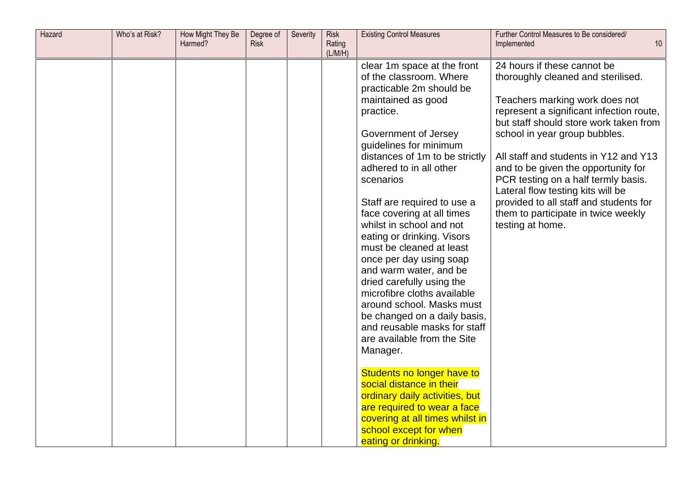| Hazard | Who's at Risk? | How Might They Be<br>Harmed? | Degree of<br><b>Risk</b> | Severity | <b>Risk</b><br>Rating<br>(L/M/H) | <b>Existing Control Measures</b>                                                                                                                                                                                                                                                                                                                                                                                                                                                                                                                                                                                                                              | Further Control Measures to Be considered/<br>Implemented                                                                                                                                                                                                                                                                                                                                                                                                                                   | 10 |
|--------|----------------|------------------------------|--------------------------|----------|----------------------------------|---------------------------------------------------------------------------------------------------------------------------------------------------------------------------------------------------------------------------------------------------------------------------------------------------------------------------------------------------------------------------------------------------------------------------------------------------------------------------------------------------------------------------------------------------------------------------------------------------------------------------------------------------------------|---------------------------------------------------------------------------------------------------------------------------------------------------------------------------------------------------------------------------------------------------------------------------------------------------------------------------------------------------------------------------------------------------------------------------------------------------------------------------------------------|----|
|        |                |                              |                          |          |                                  | clear 1m space at the front<br>of the classroom. Where<br>practicable 2m should be<br>maintained as good<br>practice.<br>Government of Jersey<br>guidelines for minimum<br>distances of 1m to be strictly<br>adhered to in all other<br>scenarios<br>Staff are required to use a<br>face covering at all times<br>whilst in school and not<br>eating or drinking. Visors<br>must be cleaned at least<br>once per day using soap<br>and warm water, and be<br>dried carefully using the<br>microfibre cloths available<br>around school. Masks must<br>be changed on a daily basis,<br>and reusable masks for staff<br>are available from the Site<br>Manager. | 24 hours if these cannot be<br>thoroughly cleaned and sterilised.<br>Teachers marking work does not<br>represent a significant infection route,<br>but staff should store work taken from<br>school in year group bubbles.<br>All staff and students in Y12 and Y13<br>and to be given the opportunity for<br>PCR testing on a half termly basis.<br>Lateral flow testing kits will be<br>provided to all staff and students for<br>them to participate in twice weekly<br>testing at home. |    |
|        |                |                              |                          |          |                                  | Students no longer have to<br>social distance in their<br>ordinary daily activities, but<br>are required to wear a face<br>covering at all times whilst in<br>school except for when<br>eating or drinking.                                                                                                                                                                                                                                                                                                                                                                                                                                                   |                                                                                                                                                                                                                                                                                                                                                                                                                                                                                             |    |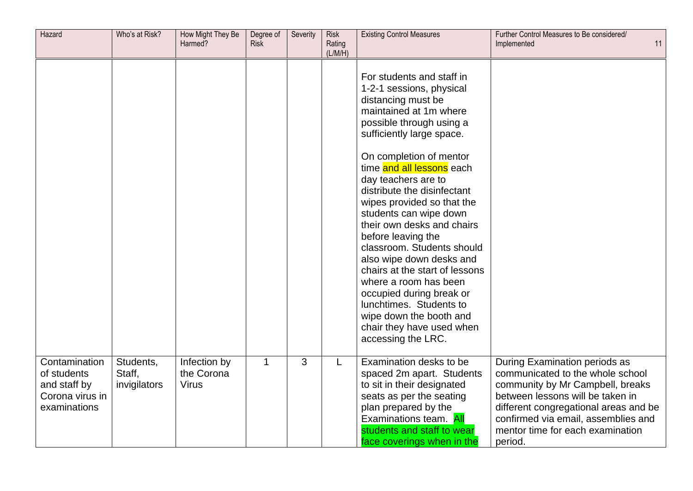| Hazard                                                                          | Who's at Risk?                      | How Might They Be<br>Harmed?               | Degree of<br><b>Risk</b> | Severity | <b>Risk</b><br>Rating<br>(L/M/H) | <b>Existing Control Measures</b>                                                                                                                                                                                                                                                                                                                                                                                                                                                 | Further Control Measures to Be considered/<br>Implemented<br>11                                                                                                                                                                                                          |
|---------------------------------------------------------------------------------|-------------------------------------|--------------------------------------------|--------------------------|----------|----------------------------------|----------------------------------------------------------------------------------------------------------------------------------------------------------------------------------------------------------------------------------------------------------------------------------------------------------------------------------------------------------------------------------------------------------------------------------------------------------------------------------|--------------------------------------------------------------------------------------------------------------------------------------------------------------------------------------------------------------------------------------------------------------------------|
|                                                                                 |                                     |                                            |                          |          |                                  | For students and staff in<br>1-2-1 sessions, physical<br>distancing must be<br>maintained at 1m where<br>possible through using a<br>sufficiently large space.                                                                                                                                                                                                                                                                                                                   |                                                                                                                                                                                                                                                                          |
|                                                                                 |                                     |                                            |                          |          |                                  | On completion of mentor<br>time and all lessons each<br>day teachers are to<br>distribute the disinfectant<br>wipes provided so that the<br>students can wipe down<br>their own desks and chairs<br>before leaving the<br>classroom. Students should<br>also wipe down desks and<br>chairs at the start of lessons<br>where a room has been<br>occupied during break or<br>lunchtimes. Students to<br>wipe down the booth and<br>chair they have used when<br>accessing the LRC. |                                                                                                                                                                                                                                                                          |
| Contamination<br>of students<br>and staff by<br>Corona virus in<br>examinations | Students,<br>Staff,<br>invigilators | Infection by<br>the Corona<br><b>Virus</b> | $\mathbf 1$              | 3        | L                                | Examination desks to be<br>spaced 2m apart. Students<br>to sit in their designated<br>seats as per the seating<br>plan prepared by the<br>Examinations team. All<br>students and staff to wear<br>face coverings when in the                                                                                                                                                                                                                                                     | During Examination periods as<br>communicated to the whole school<br>community by Mr Campbell, breaks<br>between lessons will be taken in<br>different congregational areas and be<br>confirmed via email, assemblies and<br>mentor time for each examination<br>period. |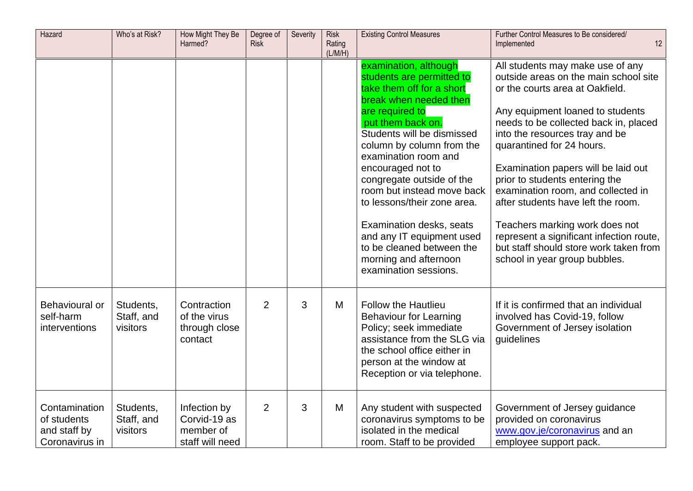| Hazard                                                         | Who's at Risk?                      | How Might They Be<br>Harmed?                                 | Degree of<br><b>Risk</b> | Severity | <b>Risk</b><br>Rating<br>(L/M/H) | <b>Existing Control Measures</b>                                                                                                                                                                                                                                                                                                                                                                                                                                                            | Further Control Measures to Be considered/<br>12<br>Implemented                                                                                                                                                                                                                                                                                                                                                                                                                                                                                                        |
|----------------------------------------------------------------|-------------------------------------|--------------------------------------------------------------|--------------------------|----------|----------------------------------|---------------------------------------------------------------------------------------------------------------------------------------------------------------------------------------------------------------------------------------------------------------------------------------------------------------------------------------------------------------------------------------------------------------------------------------------------------------------------------------------|------------------------------------------------------------------------------------------------------------------------------------------------------------------------------------------------------------------------------------------------------------------------------------------------------------------------------------------------------------------------------------------------------------------------------------------------------------------------------------------------------------------------------------------------------------------------|
|                                                                |                                     |                                                              |                          |          |                                  | examination, although<br>students are permitted to<br>take them off for a short<br>break when needed then<br>are required to<br>put them back on.<br>Students will be dismissed<br>column by column from the<br>examination room and<br>encouraged not to<br>congregate outside of the<br>room but instead move back<br>to lessons/their zone area.<br>Examination desks, seats<br>and any IT equipment used<br>to be cleaned between the<br>morning and afternoon<br>examination sessions. | All students may make use of any<br>outside areas on the main school site<br>or the courts area at Oakfield.<br>Any equipment loaned to students<br>needs to be collected back in, placed<br>into the resources tray and be<br>quarantined for 24 hours.<br>Examination papers will be laid out<br>prior to students entering the<br>examination room, and collected in<br>after students have left the room.<br>Teachers marking work does not<br>represent a significant infection route,<br>but staff should store work taken from<br>school in year group bubbles. |
| Behavioural or<br>self-harm<br>interventions                   | Students,<br>Staff, and<br>visitors | Contraction<br>of the virus<br>through close<br>contact      | $\overline{2}$           | 3        | M                                | <b>Follow the Hautlieu</b><br><b>Behaviour for Learning</b><br>Policy; seek immediate<br>assistance from the SLG via<br>the school office either in<br>person at the window at<br>Reception or via telephone.                                                                                                                                                                                                                                                                               | If it is confirmed that an individual<br>involved has Covid-19, follow<br>Government of Jersey isolation<br>guidelines                                                                                                                                                                                                                                                                                                                                                                                                                                                 |
| Contamination<br>of students<br>and staff by<br>Coronavirus in | Students,<br>Staff, and<br>visitors | Infection by<br>Corvid-19 as<br>member of<br>staff will need | $\overline{2}$           | 3        | M                                | Any student with suspected<br>coronavirus symptoms to be<br>isolated in the medical<br>room. Staff to be provided                                                                                                                                                                                                                                                                                                                                                                           | Government of Jersey guidance<br>provided on coronavirus<br>www.gov.je/coronavirus and an<br>employee support pack.                                                                                                                                                                                                                                                                                                                                                                                                                                                    |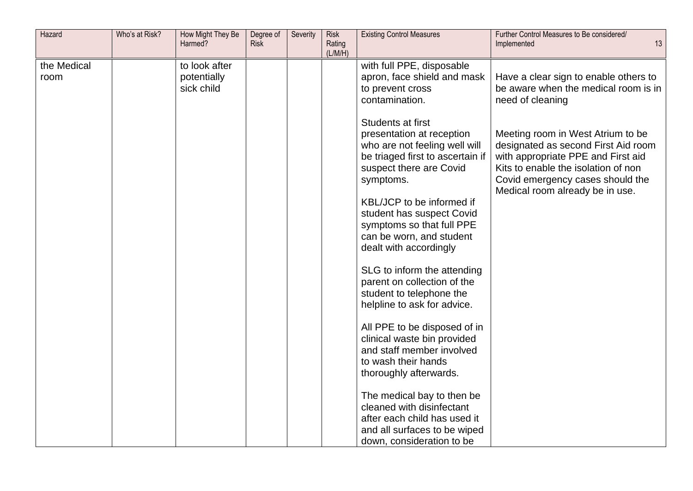| Hazard              | Who's at Risk? | How Might They Be<br>Harmed?               | Degree of<br><b>Risk</b> | Severity | <b>Risk</b><br>Rating<br>(L/M/H) | <b>Existing Control Measures</b>                                                                                                                            | Further Control Measures to Be considered/<br>13<br>Implemented                                                                                                                                                              |
|---------------------|----------------|--------------------------------------------|--------------------------|----------|----------------------------------|-------------------------------------------------------------------------------------------------------------------------------------------------------------|------------------------------------------------------------------------------------------------------------------------------------------------------------------------------------------------------------------------------|
| the Medical<br>room |                | to look after<br>potentially<br>sick child |                          |          |                                  | with full PPE, disposable<br>apron, face shield and mask<br>to prevent cross<br>contamination.                                                              | Have a clear sign to enable others to<br>be aware when the medical room is in<br>need of cleaning                                                                                                                            |
|                     |                |                                            |                          |          |                                  | Students at first<br>presentation at reception<br>who are not feeling well will<br>be triaged first to ascertain if<br>suspect there are Covid<br>symptoms. | Meeting room in West Atrium to be<br>designated as second First Aid room<br>with appropriate PPE and First aid<br>Kits to enable the isolation of non<br>Covid emergency cases should the<br>Medical room already be in use. |
|                     |                |                                            |                          |          |                                  | KBL/JCP to be informed if<br>student has suspect Covid<br>symptoms so that full PPE<br>can be worn, and student<br>dealt with accordingly                   |                                                                                                                                                                                                                              |
|                     |                |                                            |                          |          |                                  | SLG to inform the attending<br>parent on collection of the<br>student to telephone the<br>helpline to ask for advice.                                       |                                                                                                                                                                                                                              |
|                     |                |                                            |                          |          |                                  | All PPE to be disposed of in<br>clinical waste bin provided<br>and staff member involved<br>to wash their hands<br>thoroughly afterwards.                   |                                                                                                                                                                                                                              |
|                     |                |                                            |                          |          |                                  | The medical bay to then be<br>cleaned with disinfectant<br>after each child has used it<br>and all surfaces to be wiped<br>down, consideration to be        |                                                                                                                                                                                                                              |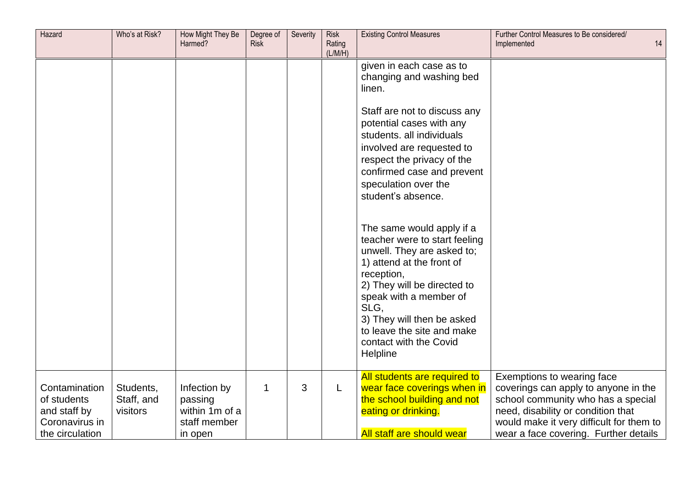| Hazard                                                                            | Who's at Risk?                      | How Might They Be<br>Harmed?                                         | Degree of<br><b>Risk</b> | Severity | <b>Risk</b><br>Rating<br>(L/M/H) | <b>Existing Control Measures</b>                                                                                                                                                                                                                                                                       | Further Control Measures to Be considered/<br>14<br>Implemented                                                                                                                                                                     |
|-----------------------------------------------------------------------------------|-------------------------------------|----------------------------------------------------------------------|--------------------------|----------|----------------------------------|--------------------------------------------------------------------------------------------------------------------------------------------------------------------------------------------------------------------------------------------------------------------------------------------------------|-------------------------------------------------------------------------------------------------------------------------------------------------------------------------------------------------------------------------------------|
|                                                                                   |                                     |                                                                      |                          |          |                                  | given in each case as to<br>changing and washing bed<br>linen.<br>Staff are not to discuss any<br>potential cases with any<br>students. all individuals<br>involved are requested to<br>respect the privacy of the<br>confirmed case and prevent<br>speculation over the<br>student's absence.         |                                                                                                                                                                                                                                     |
|                                                                                   |                                     |                                                                      |                          |          |                                  | The same would apply if a<br>teacher were to start feeling<br>unwell. They are asked to;<br>1) attend at the front of<br>reception,<br>2) They will be directed to<br>speak with a member of<br>SLG.<br>3) They will then be asked<br>to leave the site and make<br>contact with the Covid<br>Helpline |                                                                                                                                                                                                                                     |
| Contamination<br>of students<br>and staff by<br>Coronavirus in<br>the circulation | Students,<br>Staff, and<br>visitors | Infection by<br>passing<br>within 1m of a<br>staff member<br>in open | 1                        | 3        | L                                | All students are required to<br>wear face coverings when in<br>the school building and not<br>eating or drinking.<br>All staff are should wear                                                                                                                                                         | Exemptions to wearing face<br>coverings can apply to anyone in the<br>school community who has a special<br>need, disability or condition that<br>would make it very difficult for them to<br>wear a face covering. Further details |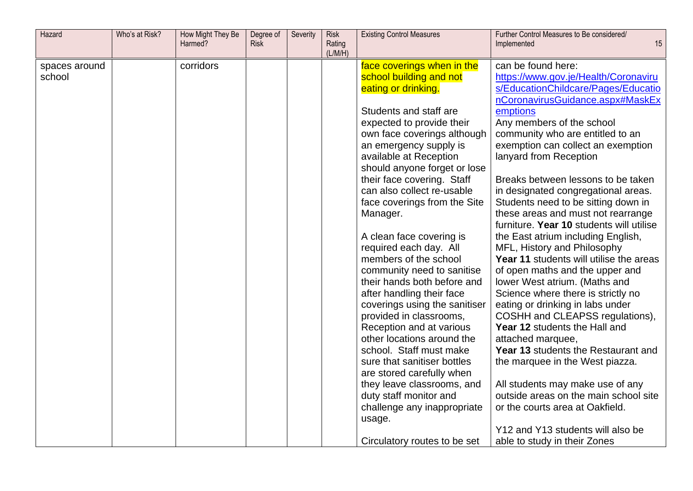| Hazard        | Who's at Risk? | How Might They Be<br>Harmed? | Degree of<br><b>Risk</b> | Severity | <b>Risk</b><br>Rating<br>(L/M/H) | <b>Existing Control Measures</b> | Further Control Measures to Be considered/<br>15<br>Implemented |
|---------------|----------------|------------------------------|--------------------------|----------|----------------------------------|----------------------------------|-----------------------------------------------------------------|
| spaces around |                | corridors                    |                          |          |                                  | face coverings when in the       | can be found here:                                              |
| school        |                |                              |                          |          |                                  | school building and not          | https://www.gov.je/Health/Coronaviru                            |
|               |                |                              |                          |          |                                  | eating or drinking.              | s/EducationChildcare/Pages/Educatio                             |
|               |                |                              |                          |          |                                  |                                  | nCoronavirusGuidance.aspx#MaskEx                                |
|               |                |                              |                          |          |                                  | Students and staff are           | emptions                                                        |
|               |                |                              |                          |          |                                  | expected to provide their        | Any members of the school                                       |
|               |                |                              |                          |          |                                  | own face coverings although      | community who are entitled to an                                |
|               |                |                              |                          |          |                                  | an emergency supply is           | exemption can collect an exemption                              |
|               |                |                              |                          |          |                                  | available at Reception           | lanyard from Reception                                          |
|               |                |                              |                          |          |                                  | should anyone forget or lose     |                                                                 |
|               |                |                              |                          |          |                                  | their face covering. Staff       | Breaks between lessons to be taken                              |
|               |                |                              |                          |          |                                  | can also collect re-usable       | in designated congregational areas.                             |
|               |                |                              |                          |          |                                  | face coverings from the Site     | Students need to be sitting down in                             |
|               |                |                              |                          |          |                                  | Manager.                         | these areas and must not rearrange                              |
|               |                |                              |                          |          |                                  |                                  | furniture. Year 10 students will utilise                        |
|               |                |                              |                          |          |                                  | A clean face covering is         | the East atrium including English,                              |
|               |                |                              |                          |          |                                  | required each day. All           | MFL, History and Philosophy                                     |
|               |                |                              |                          |          |                                  | members of the school            | Year 11 students will utilise the areas                         |
|               |                |                              |                          |          |                                  | community need to sanitise       | of open maths and the upper and                                 |
|               |                |                              |                          |          |                                  | their hands both before and      | lower West atrium. (Maths and                                   |
|               |                |                              |                          |          |                                  | after handling their face        | Science where there is strictly no                              |
|               |                |                              |                          |          |                                  | coverings using the sanitiser    | eating or drinking in labs under                                |
|               |                |                              |                          |          |                                  | provided in classrooms,          | COSHH and CLEAPSS regulations),                                 |
|               |                |                              |                          |          |                                  | Reception and at various         | Year 12 students the Hall and                                   |
|               |                |                              |                          |          |                                  | other locations around the       | attached marquee,                                               |
|               |                |                              |                          |          |                                  | school. Staff must make          | Year 13 students the Restaurant and                             |
|               |                |                              |                          |          |                                  | sure that sanitiser bottles      | the marquee in the West piazza.                                 |
|               |                |                              |                          |          |                                  | are stored carefully when        |                                                                 |
|               |                |                              |                          |          |                                  | they leave classrooms, and       | All students may make use of any                                |
|               |                |                              |                          |          |                                  | duty staff monitor and           | outside areas on the main school site                           |
|               |                |                              |                          |          |                                  | challenge any inappropriate      | or the courts area at Oakfield.                                 |
|               |                |                              |                          |          |                                  | usage.                           |                                                                 |
|               |                |                              |                          |          |                                  |                                  | Y12 and Y13 students will also be                               |
|               |                |                              |                          |          |                                  | Circulatory routes to be set     | able to study in their Zones                                    |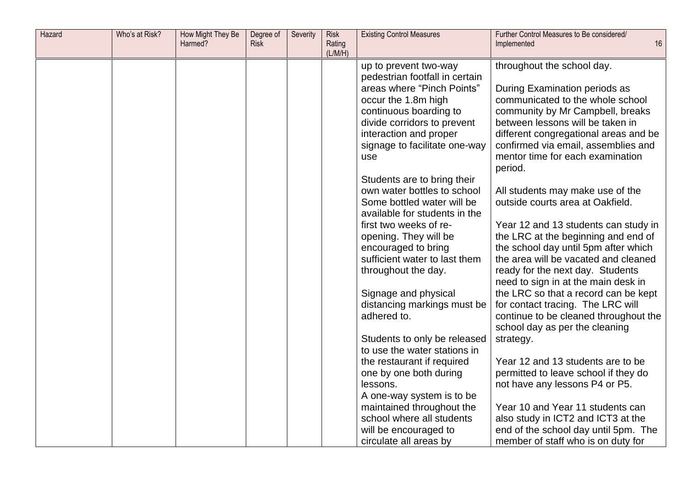| Hazard | Who's at Risk? | How Might They Be<br>Harmed? | Degree of<br><b>Risk</b> | Severity | <b>Risk</b><br>Rating<br>(L/M/H) | <b>Existing Control Measures</b>                    | Further Control Measures to Be considered/<br>16<br>Implemented            |
|--------|----------------|------------------------------|--------------------------|----------|----------------------------------|-----------------------------------------------------|----------------------------------------------------------------------------|
|        |                |                              |                          |          |                                  | up to prevent two-way                               | throughout the school day.                                                 |
|        |                |                              |                          |          |                                  | pedestrian footfall in certain                      |                                                                            |
|        |                |                              |                          |          |                                  | areas where "Pinch Points"                          | During Examination periods as                                              |
|        |                |                              |                          |          |                                  | occur the 1.8m high                                 | communicated to the whole school                                           |
|        |                |                              |                          |          |                                  | continuous boarding to                              | community by Mr Campbell, breaks                                           |
|        |                |                              |                          |          |                                  | divide corridors to prevent                         | between lessons will be taken in                                           |
|        |                |                              |                          |          |                                  | interaction and proper                              | different congregational areas and be                                      |
|        |                |                              |                          |          |                                  | signage to facilitate one-way                       | confirmed via email, assemblies and                                        |
|        |                |                              |                          |          |                                  | use                                                 | mentor time for each examination                                           |
|        |                |                              |                          |          |                                  |                                                     | period.                                                                    |
|        |                |                              |                          |          |                                  | Students are to bring their                         |                                                                            |
|        |                |                              |                          |          |                                  | own water bottles to school                         | All students may make use of the                                           |
|        |                |                              |                          |          |                                  | Some bottled water will be                          | outside courts area at Oakfield.                                           |
|        |                |                              |                          |          |                                  | available for students in the                       |                                                                            |
|        |                |                              |                          |          |                                  | first two weeks of re-                              | Year 12 and 13 students can study in                                       |
|        |                |                              |                          |          |                                  | opening. They will be                               | the LRC at the beginning and end of                                        |
|        |                |                              |                          |          |                                  | encouraged to bring                                 | the school day until 5pm after which                                       |
|        |                |                              |                          |          |                                  | sufficient water to last them                       | the area will be vacated and cleaned                                       |
|        |                |                              |                          |          |                                  | throughout the day.                                 | ready for the next day. Students                                           |
|        |                |                              |                          |          |                                  |                                                     | need to sign in at the main desk in                                        |
|        |                |                              |                          |          |                                  | Signage and physical<br>distancing markings must be | the LRC so that a record can be kept                                       |
|        |                |                              |                          |          |                                  | adhered to.                                         | for contact tracing. The LRC will<br>continue to be cleaned throughout the |
|        |                |                              |                          |          |                                  |                                                     | school day as per the cleaning                                             |
|        |                |                              |                          |          |                                  | Students to only be released                        | strategy.                                                                  |
|        |                |                              |                          |          |                                  | to use the water stations in                        |                                                                            |
|        |                |                              |                          |          |                                  | the restaurant if required                          | Year 12 and 13 students are to be                                          |
|        |                |                              |                          |          |                                  | one by one both during                              | permitted to leave school if they do                                       |
|        |                |                              |                          |          |                                  | lessons.                                            | not have any lessons P4 or P5.                                             |
|        |                |                              |                          |          |                                  | A one-way system is to be                           |                                                                            |
|        |                |                              |                          |          |                                  | maintained throughout the                           | Year 10 and Year 11 students can                                           |
|        |                |                              |                          |          |                                  | school where all students                           | also study in ICT2 and ICT3 at the                                         |
|        |                |                              |                          |          |                                  | will be encouraged to                               | end of the school day until 5pm. The                                       |
|        |                |                              |                          |          |                                  | circulate all areas by                              | member of staff who is on duty for                                         |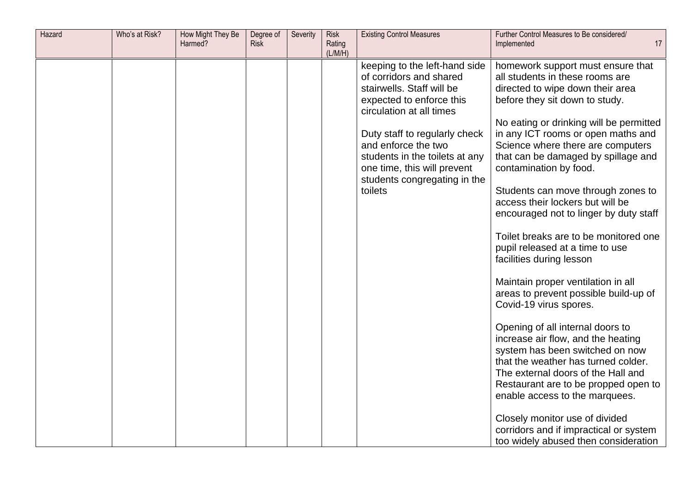| Hazard | Who's at Risk? | How Might They Be<br>Harmed? | Degree of<br><b>Risk</b> | Severity | <b>Risk</b><br>Rating<br>(L/M/H) | <b>Existing Control Measures</b>                                                                                                                                                                                                                                                                                  | Further Control Measures to Be considered/<br>17<br>Implemented                                                                                                                                                                                                                                                                                                                                                                                                                                                                                                                                                                                                                                                                                                                                                                                                                                                                                                                                                                                                |
|--------|----------------|------------------------------|--------------------------|----------|----------------------------------|-------------------------------------------------------------------------------------------------------------------------------------------------------------------------------------------------------------------------------------------------------------------------------------------------------------------|----------------------------------------------------------------------------------------------------------------------------------------------------------------------------------------------------------------------------------------------------------------------------------------------------------------------------------------------------------------------------------------------------------------------------------------------------------------------------------------------------------------------------------------------------------------------------------------------------------------------------------------------------------------------------------------------------------------------------------------------------------------------------------------------------------------------------------------------------------------------------------------------------------------------------------------------------------------------------------------------------------------------------------------------------------------|
|        |                |                              |                          |          |                                  | keeping to the left-hand side<br>of corridors and shared<br>stairwells. Staff will be<br>expected to enforce this<br>circulation at all times<br>Duty staff to regularly check<br>and enforce the two<br>students in the toilets at any<br>one time, this will prevent<br>students congregating in the<br>toilets | homework support must ensure that<br>all students in these rooms are<br>directed to wipe down their area<br>before they sit down to study.<br>No eating or drinking will be permitted<br>in any ICT rooms or open maths and<br>Science where there are computers<br>that can be damaged by spillage and<br>contamination by food.<br>Students can move through zones to<br>access their lockers but will be<br>encouraged not to linger by duty staff<br>Toilet breaks are to be monitored one<br>pupil released at a time to use<br>facilities during lesson<br>Maintain proper ventilation in all<br>areas to prevent possible build-up of<br>Covid-19 virus spores.<br>Opening of all internal doors to<br>increase air flow, and the heating<br>system has been switched on now<br>that the weather has turned colder.<br>The external doors of the Hall and<br>Restaurant are to be propped open to<br>enable access to the marquees.<br>Closely monitor use of divided<br>corridors and if impractical or system<br>too widely abused then consideration |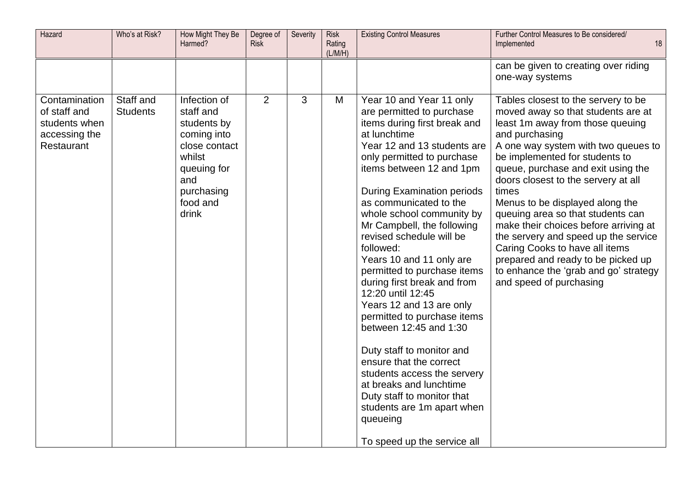| Hazard                                                                        | Who's at Risk?               | How Might They Be<br>Harmed?                                                                                                                | Degree of<br><b>Risk</b> | Severity | <b>Risk</b><br>Rating<br>(L/M/H) | <b>Existing Control Measures</b>                                                                                                                                                                                                                                                                                                                                                                                                                                                                                                                                                                                                                                                                                                                                                               | Further Control Measures to Be considered/<br>18<br>Implemented                                                                                                                                                                                                                                                                                                                                                                                                                                                                                                                                     |
|-------------------------------------------------------------------------------|------------------------------|---------------------------------------------------------------------------------------------------------------------------------------------|--------------------------|----------|----------------------------------|------------------------------------------------------------------------------------------------------------------------------------------------------------------------------------------------------------------------------------------------------------------------------------------------------------------------------------------------------------------------------------------------------------------------------------------------------------------------------------------------------------------------------------------------------------------------------------------------------------------------------------------------------------------------------------------------------------------------------------------------------------------------------------------------|-----------------------------------------------------------------------------------------------------------------------------------------------------------------------------------------------------------------------------------------------------------------------------------------------------------------------------------------------------------------------------------------------------------------------------------------------------------------------------------------------------------------------------------------------------------------------------------------------------|
|                                                                               |                              |                                                                                                                                             |                          |          |                                  |                                                                                                                                                                                                                                                                                                                                                                                                                                                                                                                                                                                                                                                                                                                                                                                                | can be given to creating over riding<br>one-way systems                                                                                                                                                                                                                                                                                                                                                                                                                                                                                                                                             |
| Contamination<br>of staff and<br>students when<br>accessing the<br>Restaurant | Staff and<br><b>Students</b> | Infection of<br>staff and<br>students by<br>coming into<br>close contact<br>whilst<br>queuing for<br>and<br>purchasing<br>food and<br>drink | 2                        | 3        | M                                | Year 10 and Year 11 only<br>are permitted to purchase<br>items during first break and<br>at lunchtime<br>Year 12 and 13 students are<br>only permitted to purchase<br>items between 12 and 1pm<br><b>During Examination periods</b><br>as communicated to the<br>whole school community by<br>Mr Campbell, the following<br>revised schedule will be<br>followed:<br>Years 10 and 11 only are<br>permitted to purchase items<br>during first break and from<br>12:20 until 12:45<br>Years 12 and 13 are only<br>permitted to purchase items<br>between 12:45 and 1:30<br>Duty staff to monitor and<br>ensure that the correct<br>students access the servery<br>at breaks and lunchtime<br>Duty staff to monitor that<br>students are 1m apart when<br>queueing<br>To speed up the service all | Tables closest to the servery to be<br>moved away so that students are at<br>least 1m away from those queuing<br>and purchasing<br>A one way system with two queues to<br>be implemented for students to<br>queue, purchase and exit using the<br>doors closest to the servery at all<br>times<br>Menus to be displayed along the<br>queuing area so that students can<br>make their choices before arriving at<br>the servery and speed up the service<br>Caring Cooks to have all items<br>prepared and ready to be picked up<br>to enhance the 'grab and go' strategy<br>and speed of purchasing |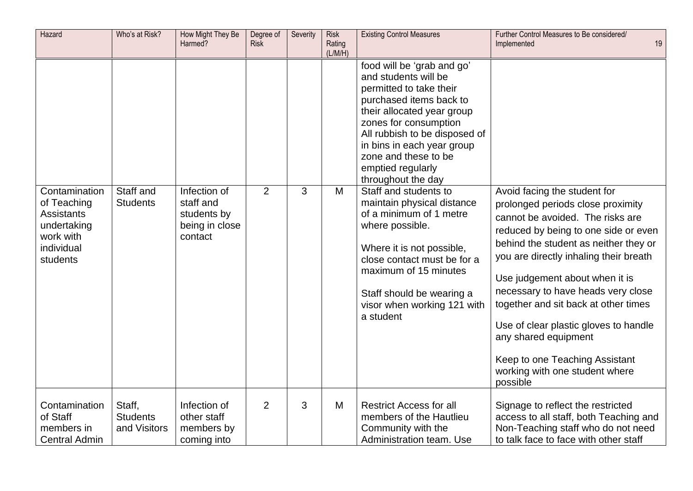| Hazard                                                                                                  | Who's at Risk?                            | How Might They Be<br>Harmed?                                          | Degree of<br><b>Risk</b> | Severity | <b>Risk</b><br>Rating<br>(L/M/H) | <b>Existing Control Measures</b>                                                                                                                                                                                                                                                                                                                                                                                                                                                                                                                                     | Further Control Measures to Be considered/<br>19<br>Implemented                                                                                                                                                                                                                                                                                                                                                                                                                                   |
|---------------------------------------------------------------------------------------------------------|-------------------------------------------|-----------------------------------------------------------------------|--------------------------|----------|----------------------------------|----------------------------------------------------------------------------------------------------------------------------------------------------------------------------------------------------------------------------------------------------------------------------------------------------------------------------------------------------------------------------------------------------------------------------------------------------------------------------------------------------------------------------------------------------------------------|---------------------------------------------------------------------------------------------------------------------------------------------------------------------------------------------------------------------------------------------------------------------------------------------------------------------------------------------------------------------------------------------------------------------------------------------------------------------------------------------------|
| Contamination<br>of Teaching<br><b>Assistants</b><br>undertaking<br>work with<br>individual<br>students | Staff and<br><b>Students</b>              | Infection of<br>staff and<br>students by<br>being in close<br>contact | $\overline{2}$           | 3        | M                                | food will be 'grab and go'<br>and students will be<br>permitted to take their<br>purchased items back to<br>their allocated year group<br>zones for consumption<br>All rubbish to be disposed of<br>in bins in each year group<br>zone and these to be<br>emptied regularly<br>throughout the day<br>Staff and students to<br>maintain physical distance<br>of a minimum of 1 metre<br>where possible.<br>Where it is not possible,<br>close contact must be for a<br>maximum of 15 minutes<br>Staff should be wearing a<br>visor when working 121 with<br>a student | Avoid facing the student for<br>prolonged periods close proximity<br>cannot be avoided. The risks are<br>reduced by being to one side or even<br>behind the student as neither they or<br>you are directly inhaling their breath<br>Use judgement about when it is<br>necessary to have heads very close<br>together and sit back at other times<br>Use of clear plastic gloves to handle<br>any shared equipment<br>Keep to one Teaching Assistant<br>working with one student where<br>possible |
| Contamination<br>of Staff<br>members in<br><b>Central Admin</b>                                         | Staff,<br><b>Students</b><br>and Visitors | Infection of<br>other staff<br>members by<br>coming into              | $\overline{2}$           | 3        | M                                | <b>Restrict Access for all</b><br>members of the Hautlieu<br>Community with the<br>Administration team. Use                                                                                                                                                                                                                                                                                                                                                                                                                                                          | Signage to reflect the restricted<br>access to all staff, both Teaching and<br>Non-Teaching staff who do not need<br>to talk face to face with other staff                                                                                                                                                                                                                                                                                                                                        |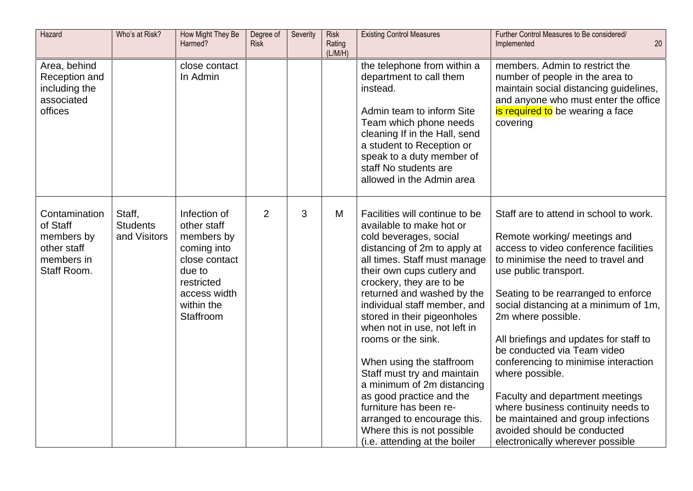| Hazard                                                                              | Who's at Risk?                            | How Might They Be<br>Harmed?                                                                                                                 | Degree of<br><b>Risk</b> | Severity | <b>Risk</b><br>Rating<br>(L/M/H) | <b>Existing Control Measures</b>                                                                                                                                                                                                                                                                                                                                                                                                                                                                                                                                                                               | Further Control Measures to Be considered/<br>20<br>Implemented                                                                                                                                                                                                                                                                                                                                                                                                                                                                                                                                            |
|-------------------------------------------------------------------------------------|-------------------------------------------|----------------------------------------------------------------------------------------------------------------------------------------------|--------------------------|----------|----------------------------------|----------------------------------------------------------------------------------------------------------------------------------------------------------------------------------------------------------------------------------------------------------------------------------------------------------------------------------------------------------------------------------------------------------------------------------------------------------------------------------------------------------------------------------------------------------------------------------------------------------------|------------------------------------------------------------------------------------------------------------------------------------------------------------------------------------------------------------------------------------------------------------------------------------------------------------------------------------------------------------------------------------------------------------------------------------------------------------------------------------------------------------------------------------------------------------------------------------------------------------|
| Area, behind<br>Reception and<br>including the<br>associated<br>offices             |                                           | close contact<br>In Admin                                                                                                                    |                          |          |                                  | the telephone from within a<br>department to call them<br>instead.<br>Admin team to inform Site<br>Team which phone needs<br>cleaning If in the Hall, send<br>a student to Reception or<br>speak to a duty member of<br>staff No students are<br>allowed in the Admin area                                                                                                                                                                                                                                                                                                                                     | members. Admin to restrict the<br>number of people in the area to<br>maintain social distancing guidelines,<br>and anyone who must enter the office<br>is required to be wearing a face<br>covering                                                                                                                                                                                                                                                                                                                                                                                                        |
| Contamination<br>of Staff<br>members by<br>other staff<br>members in<br>Staff Room. | Staff,<br><b>Students</b><br>and Visitors | Infection of<br>other staff<br>members by<br>coming into<br>close contact<br>due to<br>restricted<br>access width<br>within the<br>Staffroom | $\overline{2}$           | 3        | M                                | Facilities will continue to be<br>available to make hot or<br>cold beverages, social<br>distancing of 2m to apply at<br>all times. Staff must manage<br>their own cups cutlery and<br>crockery, they are to be<br>returned and washed by the<br>individual staff member, and<br>stored in their pigeonholes<br>when not in use, not left in<br>rooms or the sink.<br>When using the staffroom<br>Staff must try and maintain<br>a minimum of 2m distancing<br>as good practice and the<br>furniture has been re-<br>arranged to encourage this.<br>Where this is not possible<br>(i.e. attending at the boiler | Staff are to attend in school to work.<br>Remote working/ meetings and<br>access to video conference facilities<br>to minimise the need to travel and<br>use public transport.<br>Seating to be rearranged to enforce<br>social distancing at a minimum of 1m,<br>2m where possible.<br>All briefings and updates for staff to<br>be conducted via Team video<br>conferencing to minimise interaction<br>where possible.<br>Faculty and department meetings<br>where business continuity needs to<br>be maintained and group infections<br>avoided should be conducted<br>electronically wherever possible |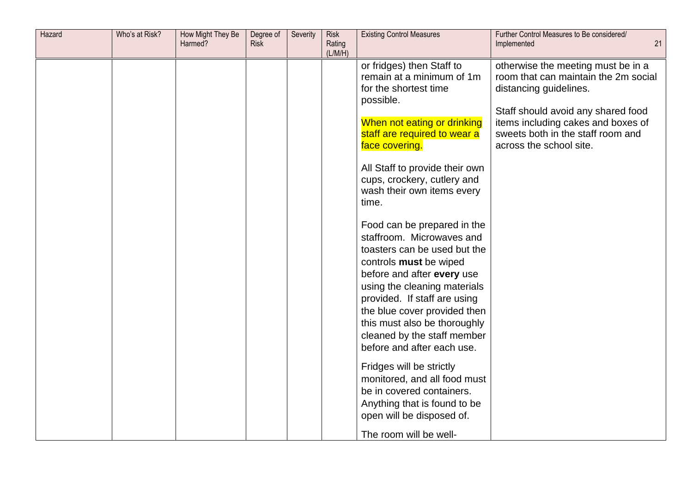| Hazard | Who's at Risk? | How Might They Be<br>Harmed? | Degree of<br><b>Risk</b> | Severity | <b>Risk</b><br>Rating<br>(L/M/H) | <b>Existing Control Measures</b>                                                                                                                                                                                                                                                                                                                                                                                                                                                                                                                                                                                                       | Further Control Measures to Be considered/<br>Implemented<br>21                                                                                                                                                                                  |
|--------|----------------|------------------------------|--------------------------|----------|----------------------------------|----------------------------------------------------------------------------------------------------------------------------------------------------------------------------------------------------------------------------------------------------------------------------------------------------------------------------------------------------------------------------------------------------------------------------------------------------------------------------------------------------------------------------------------------------------------------------------------------------------------------------------------|--------------------------------------------------------------------------------------------------------------------------------------------------------------------------------------------------------------------------------------------------|
|        |                |                              |                          |          |                                  | or fridges) then Staff to<br>remain at a minimum of 1m<br>for the shortest time<br>possible.<br>When not eating or drinking<br>staff are required to wear a<br>face covering.<br>All Staff to provide their own<br>cups, crockery, cutlery and<br>wash their own items every<br>time.<br>Food can be prepared in the<br>staffroom. Microwaves and<br>toasters can be used but the<br>controls must be wiped<br>before and after every use<br>using the cleaning materials<br>provided. If staff are using<br>the blue cover provided then<br>this must also be thoroughly<br>cleaned by the staff member<br>before and after each use. | otherwise the meeting must be in a<br>room that can maintain the 2m social<br>distancing guidelines.<br>Staff should avoid any shared food<br>items including cakes and boxes of<br>sweets both in the staff room and<br>across the school site. |
|        |                |                              |                          |          |                                  | Fridges will be strictly<br>monitored, and all food must<br>be in covered containers.<br>Anything that is found to be<br>open will be disposed of.<br>The room will be well-                                                                                                                                                                                                                                                                                                                                                                                                                                                           |                                                                                                                                                                                                                                                  |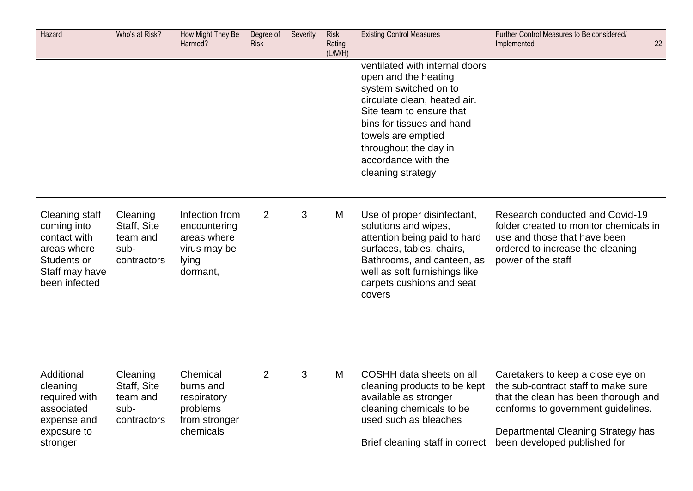| Hazard                                                                                                         | Who's at Risk?                                             | How Might They Be<br>Harmed?                                                       | Degree of<br><b>Risk</b> | Severity | <b>Risk</b><br>Rating<br>(L/M/H) | <b>Existing Control Measures</b>                                                                                                                                                                                                                                    | Further Control Measures to Be considered/<br>22<br>Implemented                                                                                                                                                              |
|----------------------------------------------------------------------------------------------------------------|------------------------------------------------------------|------------------------------------------------------------------------------------|--------------------------|----------|----------------------------------|---------------------------------------------------------------------------------------------------------------------------------------------------------------------------------------------------------------------------------------------------------------------|------------------------------------------------------------------------------------------------------------------------------------------------------------------------------------------------------------------------------|
|                                                                                                                |                                                            |                                                                                    |                          |          |                                  | ventilated with internal doors<br>open and the heating<br>system switched on to<br>circulate clean, heated air.<br>Site team to ensure that<br>bins for tissues and hand<br>towels are emptied<br>throughout the day in<br>accordance with the<br>cleaning strategy |                                                                                                                                                                                                                              |
| Cleaning staff<br>coming into<br>contact with<br>areas where<br>Students or<br>Staff may have<br>been infected | Cleaning<br>Staff, Site<br>team and<br>sub-<br>contractors | Infection from<br>encountering<br>areas where<br>virus may be<br>lying<br>dormant, | 2                        | 3        | M                                | Use of proper disinfectant,<br>solutions and wipes,<br>attention being paid to hard<br>surfaces, tables, chairs,<br>Bathrooms, and canteen, as<br>well as soft furnishings like<br>carpets cushions and seat<br>covers                                              | Research conducted and Covid-19<br>folder created to monitor chemicals in<br>use and those that have been<br>ordered to increase the cleaning<br>power of the staff                                                          |
| Additional<br>cleaning<br>required with<br>associated<br>expense and<br>exposure to<br>stronger                | Cleaning<br>Staff, Site<br>team and<br>sub-<br>contractors | Chemical<br>burns and<br>respiratory<br>problems<br>from stronger<br>chemicals     | $\overline{2}$           | 3        | M                                | COSHH data sheets on all<br>cleaning products to be kept<br>available as stronger<br>cleaning chemicals to be<br>used such as bleaches<br>Brief cleaning staff in correct                                                                                           | Caretakers to keep a close eye on<br>the sub-contract staff to make sure<br>that the clean has been thorough and<br>conforms to government guidelines.<br>Departmental Cleaning Strategy has<br>been developed published for |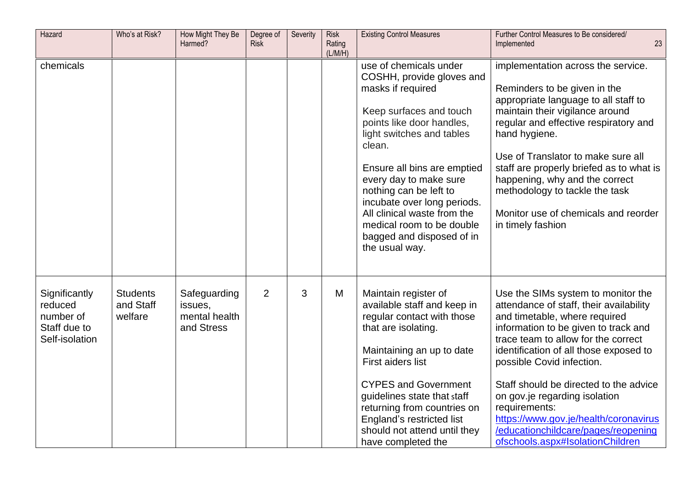| Hazard                                                                  | Who's at Risk?                          | How Might They Be<br>Harmed?                           | Degree of<br><b>Risk</b> | Severity | <b>Risk</b><br>Rating<br>(L/M/H) | <b>Existing Control Measures</b>                                                                                                                                                                                                                                                                                                                                                                     | Further Control Measures to Be considered/<br>23<br>Implemented                                                                                                                                                                                                                                                                                                                                                                                                                      |
|-------------------------------------------------------------------------|-----------------------------------------|--------------------------------------------------------|--------------------------|----------|----------------------------------|------------------------------------------------------------------------------------------------------------------------------------------------------------------------------------------------------------------------------------------------------------------------------------------------------------------------------------------------------------------------------------------------------|--------------------------------------------------------------------------------------------------------------------------------------------------------------------------------------------------------------------------------------------------------------------------------------------------------------------------------------------------------------------------------------------------------------------------------------------------------------------------------------|
| chemicals                                                               |                                         |                                                        |                          |          |                                  | use of chemicals under<br>COSHH, provide gloves and<br>masks if required<br>Keep surfaces and touch<br>points like door handles,<br>light switches and tables<br>clean.<br>Ensure all bins are emptied<br>every day to make sure<br>nothing can be left to<br>incubate over long periods.<br>All clinical waste from the<br>medical room to be double<br>bagged and disposed of in<br>the usual way. | implementation across the service.<br>Reminders to be given in the<br>appropriate language to all staff to<br>maintain their vigilance around<br>regular and effective respiratory and<br>hand hygiene.<br>Use of Translator to make sure all<br>staff are properly briefed as to what is<br>happening, why and the correct<br>methodology to tackle the task<br>Monitor use of chemicals and reorder<br>in timely fashion                                                           |
| Significantly<br>reduced<br>number of<br>Staff due to<br>Self-isolation | <b>Students</b><br>and Staff<br>welfare | Safeguarding<br>issues,<br>mental health<br>and Stress | $\overline{2}$           | 3        | M                                | Maintain register of<br>available staff and keep in<br>regular contact with those<br>that are isolating.<br>Maintaining an up to date<br>First aiders list<br><b>CYPES and Government</b><br>guidelines state that staff<br>returning from countries on<br>England's restricted list<br>should not attend until they<br>have completed the                                                           | Use the SIMs system to monitor the<br>attendance of staff, their availability<br>and timetable, where required<br>information to be given to track and<br>trace team to allow for the correct<br>identification of all those exposed to<br>possible Covid infection.<br>Staff should be directed to the advice<br>on gov.je regarding isolation<br>requirements:<br>https://www.gov.je/health/coronavirus<br>/educationchildcare/pages/reopening<br>ofschools.aspx#IsolationChildren |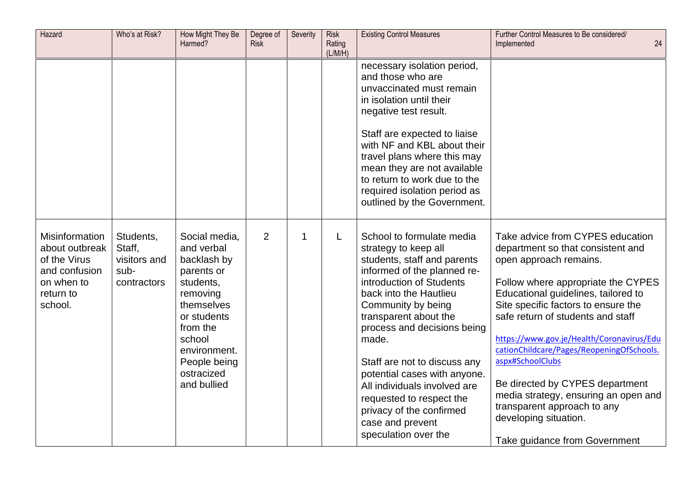| Hazard                                                                                                         | Who's at Risk?                                             | How Might They Be<br>Harmed?                                                                                                                                                                      | Degree of<br><b>Risk</b> | Severity | Risk<br>Rating<br>(L/M/H) | <b>Existing Control Measures</b>                                                                                                                                                                                                                                                                                                                                                                                                                                 | Further Control Measures to Be considered/<br>24<br>Implemented                                                                                                                                                                                                                                                                                                                                                                                                                                                                            |
|----------------------------------------------------------------------------------------------------------------|------------------------------------------------------------|---------------------------------------------------------------------------------------------------------------------------------------------------------------------------------------------------|--------------------------|----------|---------------------------|------------------------------------------------------------------------------------------------------------------------------------------------------------------------------------------------------------------------------------------------------------------------------------------------------------------------------------------------------------------------------------------------------------------------------------------------------------------|--------------------------------------------------------------------------------------------------------------------------------------------------------------------------------------------------------------------------------------------------------------------------------------------------------------------------------------------------------------------------------------------------------------------------------------------------------------------------------------------------------------------------------------------|
|                                                                                                                |                                                            |                                                                                                                                                                                                   |                          |          |                           | necessary isolation period,<br>and those who are<br>unvaccinated must remain<br>in isolation until their<br>negative test result.<br>Staff are expected to liaise<br>with NF and KBL about their<br>travel plans where this may<br>mean they are not available<br>to return to work due to the<br>required isolation period as<br>outlined by the Government.                                                                                                    |                                                                                                                                                                                                                                                                                                                                                                                                                                                                                                                                            |
| <b>Misinformation</b><br>about outbreak<br>of the Virus<br>and confusion<br>on when to<br>return to<br>school. | Students,<br>Staff,<br>visitors and<br>sub-<br>contractors | Social media,<br>and verbal<br>backlash by<br>parents or<br>students,<br>removing<br>themselves<br>or students<br>from the<br>school<br>environment.<br>People being<br>ostracized<br>and bullied | $\overline{2}$           | 1        | L                         | School to formulate media<br>strategy to keep all<br>students, staff and parents<br>informed of the planned re-<br>introduction of Students<br>back into the Hautlieu<br>Community by being<br>transparent about the<br>process and decisions being<br>made.<br>Staff are not to discuss any<br>potential cases with anyone.<br>All individuals involved are<br>requested to respect the<br>privacy of the confirmed<br>case and prevent<br>speculation over the | Take advice from CYPES education<br>department so that consistent and<br>open approach remains.<br>Follow where appropriate the CYPES<br>Educational guidelines, tailored to<br>Site specific factors to ensure the<br>safe return of students and staff<br>https://www.gov.je/Health/Coronavirus/Edu<br>cationChildcare/Pages/ReopeningOfSchools.<br>aspx#SchoolClubs<br>Be directed by CYPES department<br>media strategy, ensuring an open and<br>transparent approach to any<br>developing situation.<br>Take guidance from Government |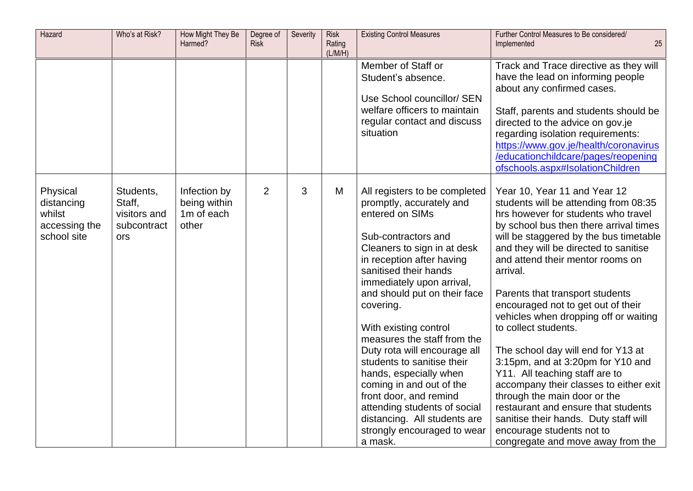| Hazard                                                           | Who's at Risk?                                            | How Might They Be<br>Harmed?                        | Degree of<br><b>Risk</b> | Severity | <b>Risk</b><br>Rating<br>(L/M/H) | <b>Existing Control Measures</b>                                                                                                                                                                                                                                                                                                                                                                                                                                                                                                                                                   | Further Control Measures to Be considered/<br>25<br>Implemented                                                                                                                                                                                                                                                                                                                                                                                                                                                                                                                                                                                                                                                                                                              |
|------------------------------------------------------------------|-----------------------------------------------------------|-----------------------------------------------------|--------------------------|----------|----------------------------------|------------------------------------------------------------------------------------------------------------------------------------------------------------------------------------------------------------------------------------------------------------------------------------------------------------------------------------------------------------------------------------------------------------------------------------------------------------------------------------------------------------------------------------------------------------------------------------|------------------------------------------------------------------------------------------------------------------------------------------------------------------------------------------------------------------------------------------------------------------------------------------------------------------------------------------------------------------------------------------------------------------------------------------------------------------------------------------------------------------------------------------------------------------------------------------------------------------------------------------------------------------------------------------------------------------------------------------------------------------------------|
|                                                                  |                                                           |                                                     |                          |          |                                  | Member of Staff or<br>Student's absence.<br>Use School councillor/ SEN<br>welfare officers to maintain<br>regular contact and discuss<br>situation                                                                                                                                                                                                                                                                                                                                                                                                                                 | Track and Trace directive as they will<br>have the lead on informing people<br>about any confirmed cases.<br>Staff, parents and students should be<br>directed to the advice on gov.je<br>regarding isolation requirements:<br>https://www.gov.je/health/coronavirus<br>/educationchildcare/pages/reopening<br>ofschools.aspx#IsolationChildren                                                                                                                                                                                                                                                                                                                                                                                                                              |
| Physical<br>distancing<br>whilst<br>accessing the<br>school site | Students,<br>Staff,<br>visitors and<br>subcontract<br>ors | Infection by<br>being within<br>1m of each<br>other | $\overline{2}$           | 3        | M                                | All registers to be completed<br>promptly, accurately and<br>entered on SIMs<br>Sub-contractors and<br>Cleaners to sign in at desk<br>in reception after having<br>sanitised their hands<br>immediately upon arrival,<br>and should put on their face<br>covering.<br>With existing control<br>measures the staff from the<br>Duty rota will encourage all<br>students to sanitise their<br>hands, especially when<br>coming in and out of the<br>front door, and remind<br>attending students of social<br>distancing. All students are<br>strongly encouraged to wear<br>a mask. | Year 10, Year 11 and Year 12<br>students will be attending from 08:35<br>hrs however for students who travel<br>by school bus then there arrival times<br>will be staggered by the bus timetable<br>and they will be directed to sanitise<br>and attend their mentor rooms on<br>arrival.<br>Parents that transport students<br>encouraged not to get out of their<br>vehicles when dropping off or waiting<br>to collect students.<br>The school day will end for Y13 at<br>3:15pm, and at 3:20pm for Y10 and<br>Y11. All teaching staff are to<br>accompany their classes to either exit<br>through the main door or the<br>restaurant and ensure that students<br>sanitise their hands. Duty staff will<br>encourage students not to<br>congregate and move away from the |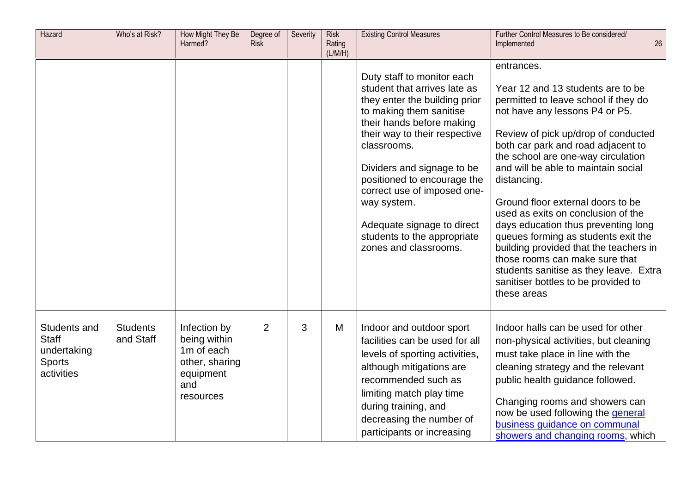| Hazard                                                                     | Who's at Risk?               | How Might They Be<br>Harmed?                                                                  | Degree of<br><b>Risk</b> | Severity | <b>Risk</b><br>Rating<br>(L/M/H) | <b>Existing Control Measures</b>                                                                                                                                                                                                                                                                                                                                                                     | Further Control Measures to Be considered/<br>26<br>Implemented                                                                                                                                                                                                                                                                                                                                                                                                                                                                                                                                                                         |
|----------------------------------------------------------------------------|------------------------------|-----------------------------------------------------------------------------------------------|--------------------------|----------|----------------------------------|------------------------------------------------------------------------------------------------------------------------------------------------------------------------------------------------------------------------------------------------------------------------------------------------------------------------------------------------------------------------------------------------------|-----------------------------------------------------------------------------------------------------------------------------------------------------------------------------------------------------------------------------------------------------------------------------------------------------------------------------------------------------------------------------------------------------------------------------------------------------------------------------------------------------------------------------------------------------------------------------------------------------------------------------------------|
|                                                                            |                              |                                                                                               |                          |          |                                  | Duty staff to monitor each<br>student that arrives late as<br>they enter the building prior<br>to making them sanitise<br>their hands before making<br>their way to their respective<br>classrooms.<br>Dividers and signage to be<br>positioned to encourage the<br>correct use of imposed one-<br>way system.<br>Adequate signage to direct<br>students to the appropriate<br>zones and classrooms. | entrances.<br>Year 12 and 13 students are to be<br>permitted to leave school if they do<br>not have any lessons P4 or P5.<br>Review of pick up/drop of conducted<br>both car park and road adjacent to<br>the school are one-way circulation<br>and will be able to maintain social<br>distancing.<br>Ground floor external doors to be<br>used as exits on conclusion of the<br>days education thus preventing long<br>queues forming as students exit the<br>building provided that the teachers in<br>those rooms can make sure that<br>students sanitise as they leave. Extra<br>sanitiser bottles to be provided to<br>these areas |
| Students and<br><b>Staff</b><br>undertaking<br><b>Sports</b><br>activities | <b>Students</b><br>and Staff | Infection by<br>being within<br>1m of each<br>other, sharing<br>equipment<br>and<br>resources | $\overline{2}$           | 3        | M                                | Indoor and outdoor sport<br>facilities can be used for all<br>levels of sporting activities,<br>although mitigations are<br>recommended such as<br>limiting match play time<br>during training, and<br>decreasing the number of<br>participants or increasing                                                                                                                                        | Indoor halls can be used for other<br>non-physical activities, but cleaning<br>must take place in line with the<br>cleaning strategy and the relevant<br>public health guidance followed.<br>Changing rooms and showers can<br>now be used following the general<br>business guidance on communal<br>showers and changing rooms, which                                                                                                                                                                                                                                                                                                  |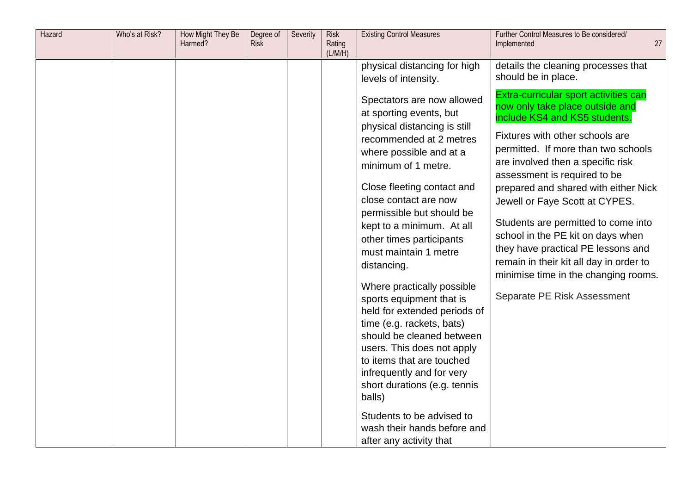| Hazard | Who's at Risk? | How Might They Be<br>Harmed? | Degree of<br><b>Risk</b> | Severity | <b>Risk</b><br>Rating<br>(L/M/H) | <b>Existing Control Measures</b>                                                                                                                                                                                                                                                                                                                                                                                                          | Further Control Measures to Be considered/<br>Implemented                                                                                                                                                                                                                                                                                                      | 27 |
|--------|----------------|------------------------------|--------------------------|----------|----------------------------------|-------------------------------------------------------------------------------------------------------------------------------------------------------------------------------------------------------------------------------------------------------------------------------------------------------------------------------------------------------------------------------------------------------------------------------------------|----------------------------------------------------------------------------------------------------------------------------------------------------------------------------------------------------------------------------------------------------------------------------------------------------------------------------------------------------------------|----|
|        |                |                              |                          |          |                                  | physical distancing for high<br>levels of intensity.<br>Spectators are now allowed<br>at sporting events, but<br>physical distancing is still<br>recommended at 2 metres<br>where possible and at a<br>minimum of 1 metre.<br>Close fleeting contact and                                                                                                                                                                                  | details the cleaning processes that<br>should be in place.<br>Extra-curricular sport activities can<br>now only take place outside and<br>include KS4 and KS5 students.<br>Fixtures with other schools are<br>permitted. If more than two schools<br>are involved then a specific risk<br>assessment is required to be<br>prepared and shared with either Nick |    |
|        |                |                              |                          |          |                                  | close contact are now<br>permissible but should be<br>kept to a minimum. At all<br>other times participants<br>must maintain 1 metre<br>distancing.<br>Where practically possible<br>sports equipment that is<br>held for extended periods of<br>time (e.g. rackets, bats)<br>should be cleaned between<br>users. This does not apply<br>to items that are touched<br>infrequently and for very<br>short durations (e.g. tennis<br>balls) | Jewell or Faye Scott at CYPES.<br>Students are permitted to come into<br>school in the PE kit on days when<br>they have practical PE lessons and<br>remain in their kit all day in order to<br>minimise time in the changing rooms.<br>Separate PE Risk Assessment                                                                                             |    |
|        |                |                              |                          |          |                                  | Students to be advised to<br>wash their hands before and<br>after any activity that                                                                                                                                                                                                                                                                                                                                                       |                                                                                                                                                                                                                                                                                                                                                                |    |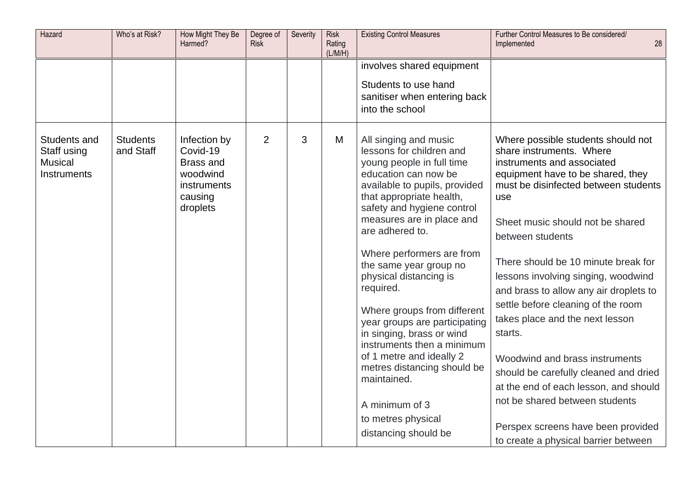| Hazard                                                       | Who's at Risk?               | How Might They Be<br>Harmed?                                                                   | Degree of<br><b>Risk</b> | Severity | <b>Risk</b><br>Rating<br>(L/M/H) | <b>Existing Control Measures</b>                                                                                                                                                                                                                                                                                                                                | Further Control Measures to Be considered/<br>28<br>Implemented                                                                                                                                                                                                                                                                                                                                                                              |
|--------------------------------------------------------------|------------------------------|------------------------------------------------------------------------------------------------|--------------------------|----------|----------------------------------|-----------------------------------------------------------------------------------------------------------------------------------------------------------------------------------------------------------------------------------------------------------------------------------------------------------------------------------------------------------------|----------------------------------------------------------------------------------------------------------------------------------------------------------------------------------------------------------------------------------------------------------------------------------------------------------------------------------------------------------------------------------------------------------------------------------------------|
|                                                              |                              |                                                                                                |                          |          |                                  | involves shared equipment<br>Students to use hand<br>sanitiser when entering back<br>into the school                                                                                                                                                                                                                                                            |                                                                                                                                                                                                                                                                                                                                                                                                                                              |
| Students and<br>Staff using<br><b>Musical</b><br>Instruments | <b>Students</b><br>and Staff | Infection by<br>Covid-19<br><b>Brass and</b><br>woodwind<br>instruments<br>causing<br>droplets | $\overline{2}$           | 3        | M                                | All singing and music<br>lessons for children and<br>young people in full time<br>education can now be<br>available to pupils, provided<br>that appropriate health,<br>safety and hygiene control<br>measures are in place and<br>are adhered to.                                                                                                               | Where possible students should not<br>share instruments. Where<br>instruments and associated<br>equipment have to be shared, they<br>must be disinfected between students<br>use<br>Sheet music should not be shared<br>between students                                                                                                                                                                                                     |
|                                                              |                              |                                                                                                |                          |          |                                  | Where performers are from<br>the same year group no<br>physical distancing is<br>required.<br>Where groups from different<br>year groups are participating<br>in singing, brass or wind<br>instruments then a minimum<br>of 1 metre and ideally 2<br>metres distancing should be<br>maintained.<br>A minimum of 3<br>to metres physical<br>distancing should be | There should be 10 minute break for<br>lessons involving singing, woodwind<br>and brass to allow any air droplets to<br>settle before cleaning of the room<br>takes place and the next lesson<br>starts.<br>Woodwind and brass instruments<br>should be carefully cleaned and dried<br>at the end of each lesson, and should<br>not be shared between students<br>Perspex screens have been provided<br>to create a physical barrier between |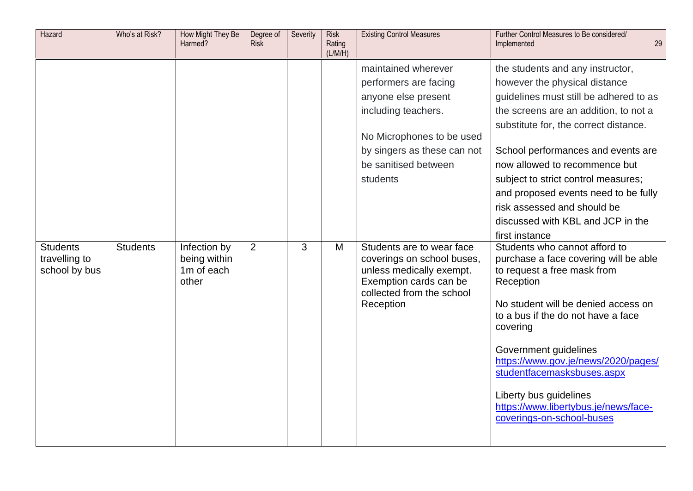| Hazard                         | Who's at Risk?  | How Might They Be<br>Harmed?        | Degree of<br><b>Risk</b> | Severity | <b>Risk</b><br>Rating<br>(L/M/H) | <b>Existing Control Measures</b>                                                 | Further Control Measures to Be considered/<br>29<br>Implemented                             |
|--------------------------------|-----------------|-------------------------------------|--------------------------|----------|----------------------------------|----------------------------------------------------------------------------------|---------------------------------------------------------------------------------------------|
|                                |                 |                                     |                          |          |                                  | maintained wherever                                                              | the students and any instructor,                                                            |
|                                |                 |                                     |                          |          |                                  | performers are facing                                                            | however the physical distance                                                               |
|                                |                 |                                     |                          |          |                                  | anyone else present                                                              | guidelines must still be adhered to as                                                      |
|                                |                 |                                     |                          |          |                                  | including teachers.                                                              | the screens are an addition, to not a                                                       |
|                                |                 |                                     |                          |          |                                  |                                                                                  | substitute for, the correct distance.                                                       |
|                                |                 |                                     |                          |          |                                  | No Microphones to be used                                                        |                                                                                             |
|                                |                 |                                     |                          |          |                                  | by singers as these can not                                                      | School performances and events are                                                          |
|                                |                 |                                     |                          |          |                                  | be sanitised between                                                             | now allowed to recommence but                                                               |
|                                |                 |                                     |                          |          |                                  | students                                                                         | subject to strict control measures;                                                         |
|                                |                 |                                     |                          |          |                                  |                                                                                  | and proposed events need to be fully                                                        |
|                                |                 |                                     |                          |          |                                  |                                                                                  | risk assessed and should be                                                                 |
|                                |                 |                                     |                          |          |                                  |                                                                                  | discussed with KBL and JCP in the                                                           |
| <b>Students</b>                | <b>Students</b> | Infection by                        | 2                        | 3        | M                                | Students are to wear face                                                        | first instance<br>Students who cannot afford to                                             |
| travelling to<br>school by bus |                 | being within<br>1m of each<br>other |                          |          |                                  | coverings on school buses,<br>unless medically exempt.<br>Exemption cards can be | purchase a face covering will be able<br>to request a free mask from<br>Reception           |
|                                |                 |                                     |                          |          |                                  | collected from the school                                                        |                                                                                             |
|                                |                 |                                     |                          |          |                                  | Reception                                                                        | No student will be denied access on<br>to a bus if the do not have a face<br>covering       |
|                                |                 |                                     |                          |          |                                  |                                                                                  | Government guidelines<br>https://www.gov.je/news/2020/pages/<br>studentfacemasksbuses.aspx  |
|                                |                 |                                     |                          |          |                                  |                                                                                  | Liberty bus guidelines<br>https://www.libertybus.je/news/face-<br>coverings-on-school-buses |
|                                |                 |                                     |                          |          |                                  |                                                                                  |                                                                                             |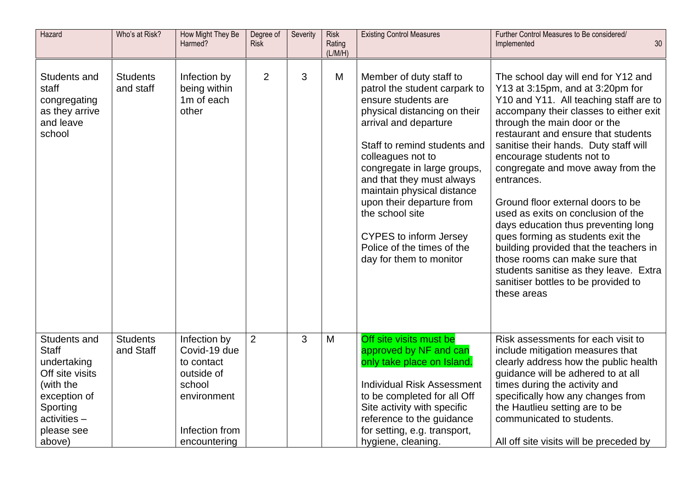| Hazard                                                                                                                                            | Who's at Risk?               | How Might They Be<br>Harmed?                                                                                        | Degree of<br>Risk | Severity | <b>Risk</b><br>Rating<br>(L/M/H) | <b>Existing Control Measures</b>                                                                                                                                                                                                                                                                                                                                                                                                  | Further Control Measures to Be considered/<br>30 <sub>o</sub><br>Implemented                                                                                                                                                                                                                                                                                                                                                                                                                                                                                                                                                                                                                   |
|---------------------------------------------------------------------------------------------------------------------------------------------------|------------------------------|---------------------------------------------------------------------------------------------------------------------|-------------------|----------|----------------------------------|-----------------------------------------------------------------------------------------------------------------------------------------------------------------------------------------------------------------------------------------------------------------------------------------------------------------------------------------------------------------------------------------------------------------------------------|------------------------------------------------------------------------------------------------------------------------------------------------------------------------------------------------------------------------------------------------------------------------------------------------------------------------------------------------------------------------------------------------------------------------------------------------------------------------------------------------------------------------------------------------------------------------------------------------------------------------------------------------------------------------------------------------|
| Students and<br>staff<br>congregating<br>as they arrive<br>and leave<br>school                                                                    | <b>Students</b><br>and staff | Infection by<br>being within<br>1m of each<br>other                                                                 | $\overline{2}$    | 3        | M                                | Member of duty staff to<br>patrol the student carpark to<br>ensure students are<br>physical distancing on their<br>arrival and departure<br>Staff to remind students and<br>colleagues not to<br>congregate in large groups,<br>and that they must always<br>maintain physical distance<br>upon their departure from<br>the school site<br><b>CYPES to inform Jersey</b><br>Police of the times of the<br>day for them to monitor | The school day will end for Y12 and<br>Y13 at 3:15pm, and at 3:20pm for<br>Y10 and Y11. All teaching staff are to<br>accompany their classes to either exit<br>through the main door or the<br>restaurant and ensure that students<br>sanitise their hands. Duty staff will<br>encourage students not to<br>congregate and move away from the<br>entrances.<br>Ground floor external doors to be<br>used as exits on conclusion of the<br>days education thus preventing long<br>ques forming as students exit the<br>building provided that the teachers in<br>those rooms can make sure that<br>students sanitise as they leave. Extra<br>sanitiser bottles to be provided to<br>these areas |
| Students and<br><b>Staff</b><br>undertaking<br>Off site visits<br>(with the<br>exception of<br>Sporting<br>$activities -$<br>please see<br>above) | <b>Students</b><br>and Staff | Infection by<br>Covid-19 due<br>to contact<br>outside of<br>school<br>environment<br>Infection from<br>encountering | $\overline{2}$    | 3        | M                                | Off site visits must be<br>approved by NF and can<br>only take place on Island.<br><b>Individual Risk Assessment</b><br>to be completed for all Off<br>Site activity with specific<br>reference to the guidance<br>for setting, e.g. transport,<br>hygiene, cleaning.                                                                                                                                                             | Risk assessments for each visit to<br>include mitigation measures that<br>clearly address how the public health<br>guidance will be adhered to at all<br>times during the activity and<br>specifically how any changes from<br>the Hautlieu setting are to be<br>communicated to students.<br>All off site visits will be preceded by                                                                                                                                                                                                                                                                                                                                                          |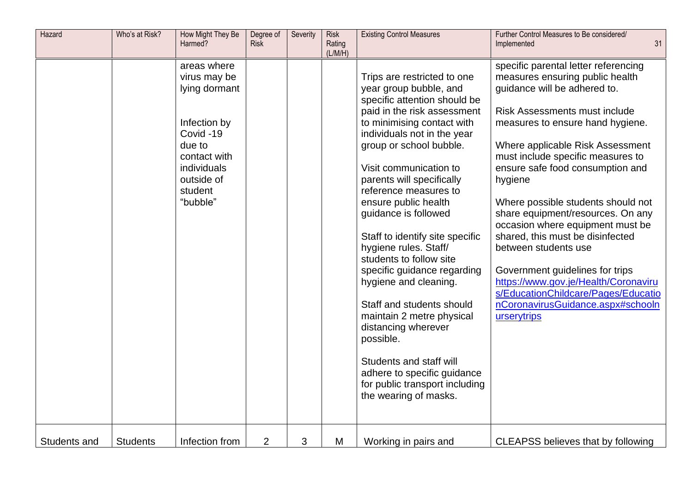| Hazard       | Who's at Risk?  | How Might They Be<br>Harmed?                                                                                                                           | Degree of<br><b>Risk</b> | Severity | <b>Risk</b><br>Rating<br>(L/M/H) | <b>Existing Control Measures</b>                                                                                                                                                                                                                                                                                                                                                                                                                                                                                                                                                                                                                                                                               | Further Control Measures to Be considered/<br>31<br>Implemented                                                                                                                                                                                                                                                                                                                                                                                                                                                                                                                                                                                              |
|--------------|-----------------|--------------------------------------------------------------------------------------------------------------------------------------------------------|--------------------------|----------|----------------------------------|----------------------------------------------------------------------------------------------------------------------------------------------------------------------------------------------------------------------------------------------------------------------------------------------------------------------------------------------------------------------------------------------------------------------------------------------------------------------------------------------------------------------------------------------------------------------------------------------------------------------------------------------------------------------------------------------------------------|--------------------------------------------------------------------------------------------------------------------------------------------------------------------------------------------------------------------------------------------------------------------------------------------------------------------------------------------------------------------------------------------------------------------------------------------------------------------------------------------------------------------------------------------------------------------------------------------------------------------------------------------------------------|
|              |                 | areas where<br>virus may be<br>lying dormant<br>Infection by<br>Covid-19<br>due to<br>contact with<br>individuals<br>outside of<br>student<br>"bubble" |                          |          |                                  | Trips are restricted to one<br>year group bubble, and<br>specific attention should be<br>paid in the risk assessment<br>to minimising contact with<br>individuals not in the year<br>group or school bubble.<br>Visit communication to<br>parents will specifically<br>reference measures to<br>ensure public health<br>guidance is followed<br>Staff to identify site specific<br>hygiene rules. Staff/<br>students to follow site<br>specific guidance regarding<br>hygiene and cleaning.<br>Staff and students should<br>maintain 2 metre physical<br>distancing wherever<br>possible.<br>Students and staff will<br>adhere to specific guidance<br>for public transport including<br>the wearing of masks. | specific parental letter referencing<br>measures ensuring public health<br>guidance will be adhered to.<br><b>Risk Assessments must include</b><br>measures to ensure hand hygiene.<br>Where applicable Risk Assessment<br>must include specific measures to<br>ensure safe food consumption and<br>hygiene<br>Where possible students should not<br>share equipment/resources. On any<br>occasion where equipment must be<br>shared, this must be disinfected<br>between students use<br>Government guidelines for trips<br>https://www.gov.je/Health/Coronaviru<br>s/EducationChildcare/Pages/Educatio<br>nCoronavirusGuidance.aspx#schooln<br>urserytrips |
| Students and | <b>Students</b> | Infection from                                                                                                                                         | $\overline{2}$           | 3        | M                                | Working in pairs and                                                                                                                                                                                                                                                                                                                                                                                                                                                                                                                                                                                                                                                                                           | <b>CLEAPSS believes that by following</b>                                                                                                                                                                                                                                                                                                                                                                                                                                                                                                                                                                                                                    |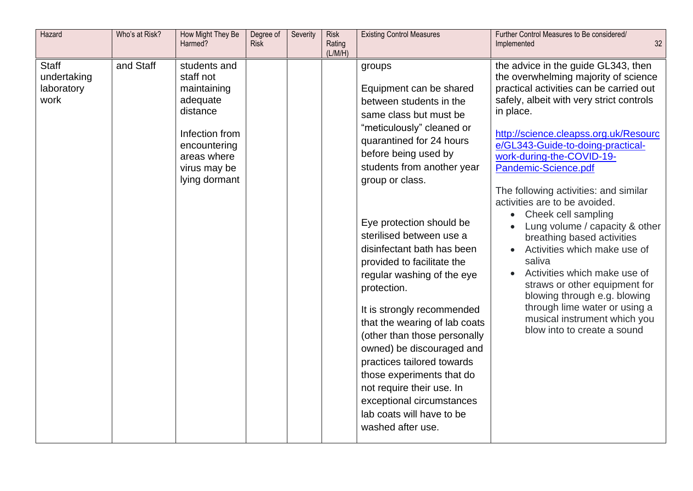| Hazard                                            | Who's at Risk? | How Might They Be<br>Harmed?                                                                                                                       | Degree of<br><b>Risk</b> | Severity | <b>Risk</b><br>Rating<br>(L/M/H) | <b>Existing Control Measures</b>                                                                                                                                                                                                                                                                                                                                                                                                                                                                                                                                                                                                                                                             | Further Control Measures to Be considered/<br>32<br>Implemented                                                                                                                                                                                                                                                                                                                                                                                                                                                                                                                                                                                                                                                                             |
|---------------------------------------------------|----------------|----------------------------------------------------------------------------------------------------------------------------------------------------|--------------------------|----------|----------------------------------|----------------------------------------------------------------------------------------------------------------------------------------------------------------------------------------------------------------------------------------------------------------------------------------------------------------------------------------------------------------------------------------------------------------------------------------------------------------------------------------------------------------------------------------------------------------------------------------------------------------------------------------------------------------------------------------------|---------------------------------------------------------------------------------------------------------------------------------------------------------------------------------------------------------------------------------------------------------------------------------------------------------------------------------------------------------------------------------------------------------------------------------------------------------------------------------------------------------------------------------------------------------------------------------------------------------------------------------------------------------------------------------------------------------------------------------------------|
| <b>Staff</b><br>undertaking<br>laboratory<br>work | and Staff      | students and<br>staff not<br>maintaining<br>adequate<br>distance<br>Infection from<br>encountering<br>areas where<br>virus may be<br>lying dormant |                          |          |                                  | groups<br>Equipment can be shared<br>between students in the<br>same class but must be<br>"meticulously" cleaned or<br>quarantined for 24 hours<br>before being used by<br>students from another year<br>group or class.<br>Eye protection should be<br>sterilised between use a<br>disinfectant bath has been<br>provided to facilitate the<br>regular washing of the eye<br>protection.<br>It is strongly recommended<br>that the wearing of lab coats<br>(other than those personally<br>owned) be discouraged and<br>practices tailored towards<br>those experiments that do<br>not require their use. In<br>exceptional circumstances<br>lab coats will have to be<br>washed after use. | the advice in the guide GL343, then<br>the overwhelming majority of science<br>practical activities can be carried out<br>safely, albeit with very strict controls<br>in place.<br>http://science.cleapss.org.uk/Resourc<br>e/GL343-Guide-to-doing-practical-<br>work-during-the-COVID-19-<br>Pandemic-Science.pdf<br>The following activities: and similar<br>activities are to be avoided.<br>Cheek cell sampling<br>$\bullet$<br>Lung volume / capacity & other<br>breathing based activities<br>Activities which make use of<br>saliva<br>Activities which make use of<br>straws or other equipment for<br>blowing through e.g. blowing<br>through lime water or using a<br>musical instrument which you<br>blow into to create a sound |